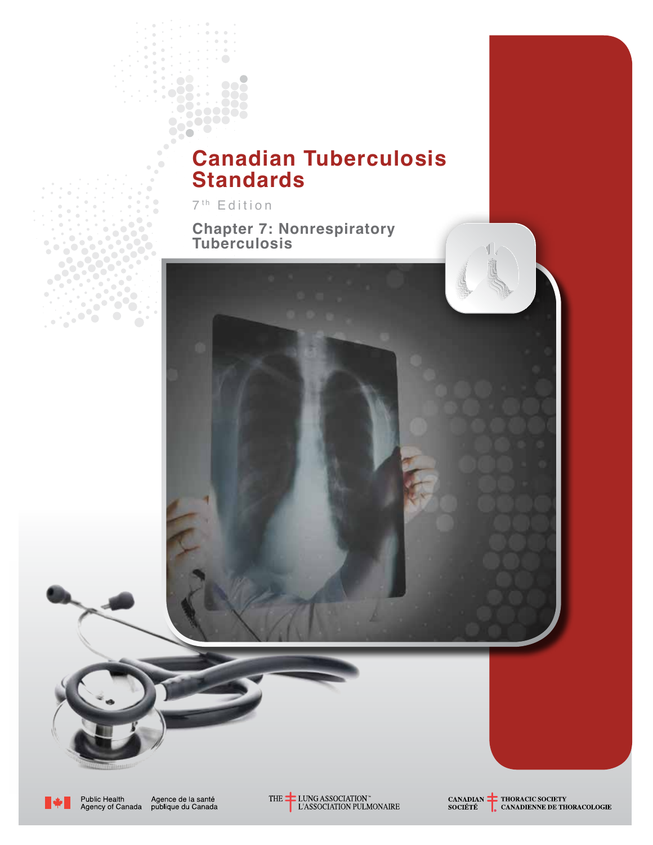# **Canadian Tuberculosis Standards**

 $7<sup>th</sup>$  Edition

 $\alpha=0$  .  $\alpha$  .

 $\bullet$ 

**Chapter 7: Nonrespiratory Tuberculosis**





 $\bullet$  $\frac{1}{2}$ 

 $\qquad \qquad \Box$ 

Public Health<br>Agency of Canada Agence de la santé<br>publique du Canada



CANADIAN THORACIC SOCIETY<br>SOCIÉTÉ CANADIENNE DE THORACOLOGIE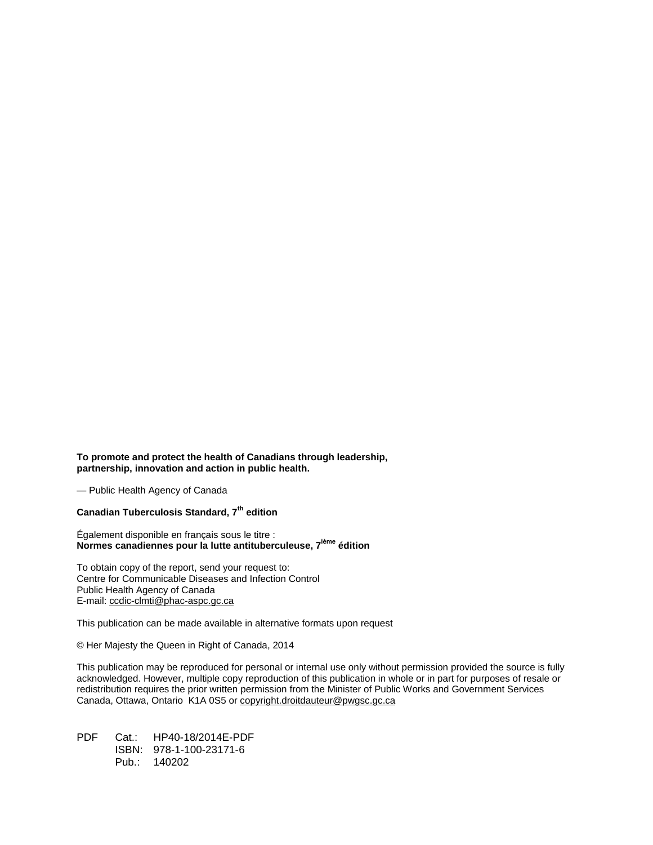**To promote and protect the health of Canadians through leadership, partnership, innovation and action in public health.** 

— Public Health Agency of Canada

#### **Canadian Tuberculosis Standard, 7th edition**

Également disponible en français sous le titre : **Normes canadiennes pour la lutte antituberculeuse, 7ième édition**

To obtain copy of the report, send your request to: Centre for Communicable Diseases and Infection Control Public Health Agency of Canada E-mail[: ccdic-clmti@phac-aspc.gc.ca](mailto:ccdic-clmti@phac-aspc.gc.ca)

This publication can be made available in alternative formats upon request

© Her Majesty the Queen in Right of Canada, 2014

This publication may be reproduced for personal or internal use only without permission provided the source is fully acknowledged. However, multiple copy reproduction of this publication in whole or in part for purposes of resale or redistribution requires the prior written permission from the Minister of Public Works and Government Services Canada, Ottawa, Ontario K1A 0S5 or [copyright.droitdauteur@pwgsc.gc.ca](mailto:copyright.droitdauteur@pwgsc.gc.ca)

PDF Cat.: HP40-18/2014E-PDF ISBN: 978-1-100-23171-6 Pub.: 140202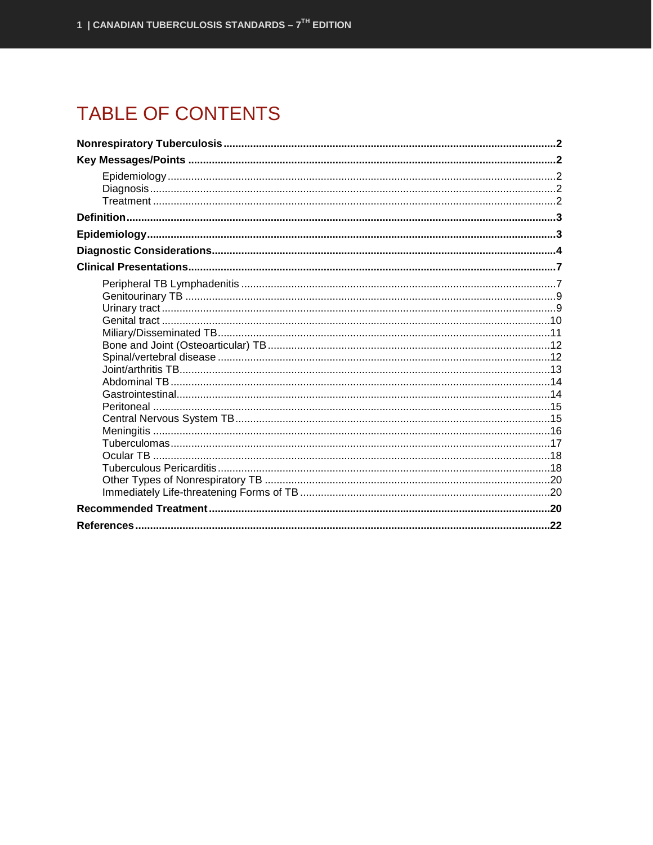# **TABLE OF CONTENTS**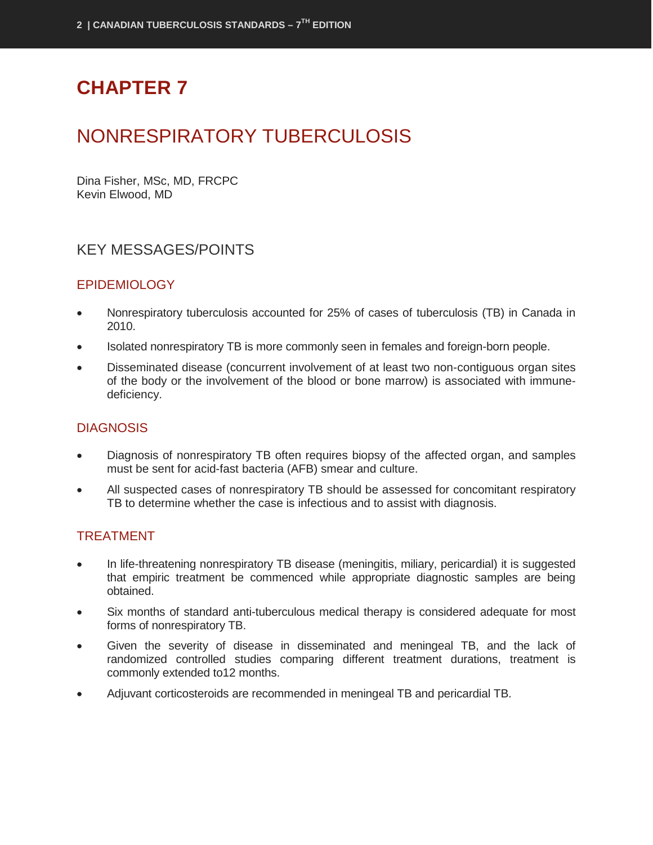# **CHAPTER 7**

# <span id="page-3-0"></span>NONRESPIRATORY TUBERCULOSIS

Dina Fisher, MSc, MD, FRCPC Kevin Elwood, MD

# <span id="page-3-1"></span>KEY MESSAGES/POINTS

# <span id="page-3-2"></span>EPIDEMIOLOGY

- Nonrespiratory tuberculosis accounted for 25% of cases of tuberculosis (TB) in Canada in 2010.
- Isolated nonrespiratory TB is more commonly seen in females and foreign-born people.
- Disseminated disease (concurrent involvement of at least two non-contiguous organ sites of the body or the involvement of the blood or bone marrow) is associated with immunedeficiency.

# <span id="page-3-3"></span>DIAGNOSIS

- Diagnosis of nonrespiratory TB often requires biopsy of the affected organ, and samples must be sent for acid-fast bacteria (AFB) smear and culture.
- All suspected cases of nonrespiratory TB should be assessed for concomitant respiratory TB to determine whether the case is infectious and to assist with diagnosis.

# <span id="page-3-4"></span>TREATMENT

- In life-threatening nonrespiratory TB disease (meningitis, miliary, pericardial) it is suggested that empiric treatment be commenced while appropriate diagnostic samples are being obtained.
- Six months of standard anti-tuberculous medical therapy is considered adequate for most forms of nonrespiratory TB.
- Given the severity of disease in disseminated and meningeal TB, and the lack of randomized controlled studies comparing different treatment durations, treatment is commonly extended to12 months.
- Adjuvant corticosteroids are recommended in meningeal TB and pericardial TB.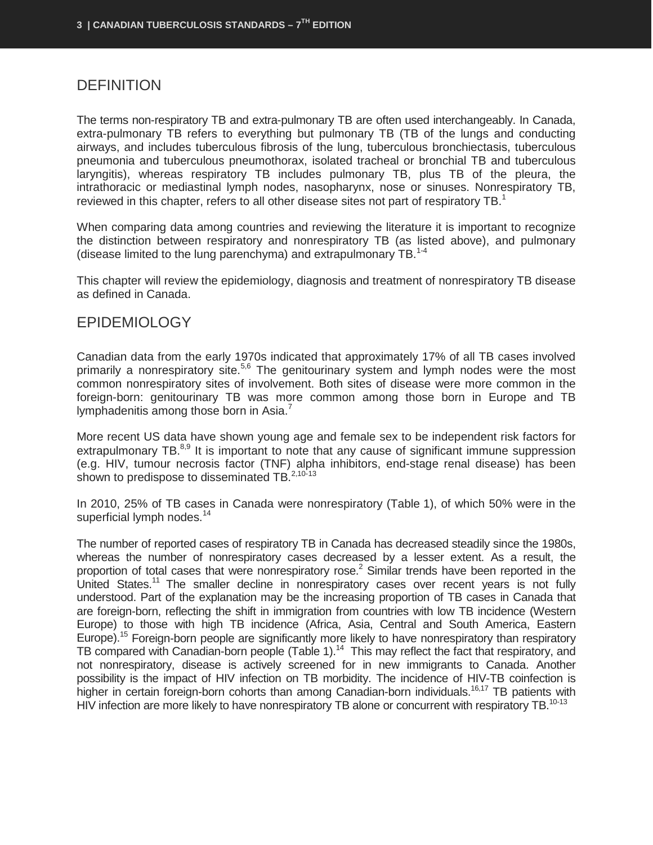# <span id="page-4-0"></span>**DEFINITION**

The terms non-respiratory TB and extra-pulmonary TB are often used interchangeably. In Canada, extra-pulmonary TB refers to everything but pulmonary TB (TB of the lungs and conducting airways, and includes tuberculous fibrosis of the lung, tuberculous bronchiectasis, tuberculous pneumonia and tuberculous pneumothorax, isolated tracheal or bronchial TB and tuberculous laryngitis), whereas respiratory TB includes pulmonary TB, plus TB of the pleura, the intrathoracic or mediastinal lymph nodes, nasopharynx, nose or sinuses. Nonrespiratory TB, reviewed in this chapter, refers to all other disease sites not part of respiratory TB.<sup>1</sup>

When comparing data among countries and reviewing the literature it is important to recognize the distinction between respiratory and nonrespiratory TB (as listed above), and pulmonary (disease limited to the lung parenchyma) and extrapulmonary  $TB^{14}$ .

This chapter will review the epidemiology, diagnosis and treatment of nonrespiratory TB disease as defined in Canada.

# <span id="page-4-1"></span>**EPIDEMIOLOGY**

Canadian data from the early 1970s indicated that approximately 17% of all TB cases involved primarily a nonrespiratory site.<sup>5,6</sup> The genitourinary system and lymph nodes were the most common nonrespiratory sites of involvement. Both sites of disease were more common in the foreign-born: genitourinary TB was more common among those born in Europe and TB lymphadenitis among those born in Asia. $<sup>7</sup>$ </sup>

More recent US data have shown young age and female sex to be independent risk factors for extrapulmonary TB. $8.9$  It is important to note that any cause of significant immune suppression (e.g. HIV, tumour necrosis factor (TNF) alpha inhibitors, end-stage renal disease) has been shown to predispose to disseminated  $TB<sub>1</sub><sup>2,10-13</sup>$ .

In 2010, 25% of TB cases in Canada were nonrespiratory (Table 1), of which 50% were in the superficial lymph nodes.<sup>14</sup>

The number of reported cases of respiratory TB in Canada has decreased steadily since the 1980s, whereas the number of nonrespiratory cases decreased by a lesser extent. As a result, the proportion of total cases that were nonrespiratory rose.<sup>2</sup> Similar trends have been reported in the United States.<sup>11</sup> The smaller decline in nonrespiratory cases over recent years is not fully understood. Part of the explanation may be the increasing proportion of TB cases in Canada that are foreign-born, reflecting the shift in immigration from countries with low TB incidence (Western Europe) to those with high TB incidence (Africa, Asia, Central and South America, Eastern Europe).<sup>15</sup> Foreign-born people are significantly more likely to have nonrespiratory than respiratory TB compared with Canadian-born people (Table 1).<sup>14</sup> This may reflect the fact that respiratory, and not nonrespiratory, disease is actively screened for in new immigrants to Canada. Another possibility is the impact of HIV infection on TB morbidity. The incidence of HIV-TB coinfection is higher in certain foreign-born cohorts than among Canadian-born individuals.<sup>16,17</sup> TB patients with HIV infection are more likely to have nonrespiratory TB alone or concurrent with respiratory TB.<sup>10-13</sup>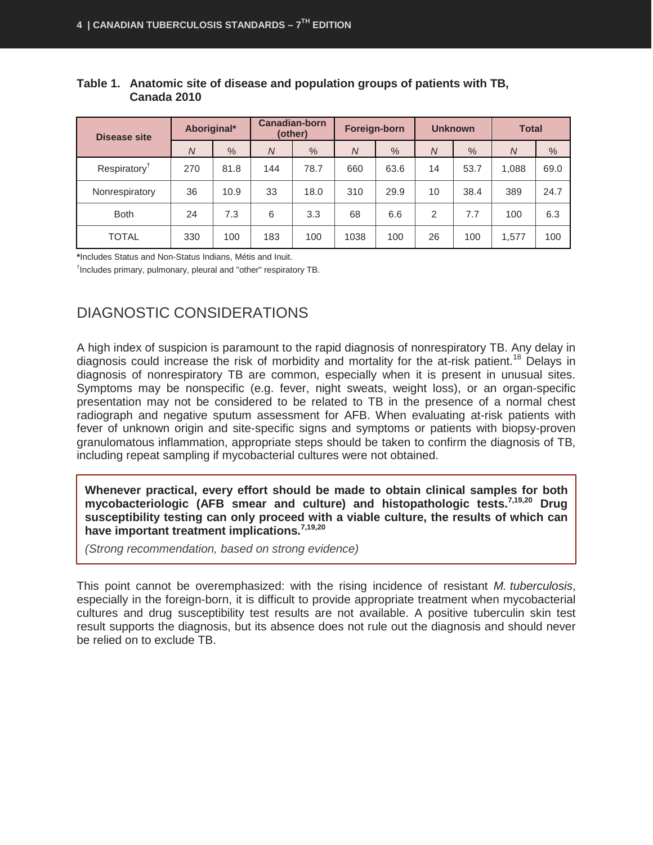| <b>Disease site</b>      | Aboriginal*    |               | <b>Canadian-born</b><br>(other) |      | <b>Foreign-born</b> |      | <b>Unknown</b> |      | <b>Total</b>   |      |
|--------------------------|----------------|---------------|---------------------------------|------|---------------------|------|----------------|------|----------------|------|
|                          | $\overline{N}$ | $\frac{9}{6}$ | $\overline{N}$                  | $\%$ | $\overline{N}$      | $\%$ | $\overline{N}$ | $\%$ | $\overline{N}$ | $\%$ |
| Respiratory <sup>†</sup> | 270            | 81.8          | 144                             | 78.7 | 660                 | 63.6 | 14             | 53.7 | 1,088          | 69.0 |
| Nonrespiratory           | 36             | 10.9          | 33                              | 18.0 | 310                 | 29.9 | 10             | 38.4 | 389            | 24.7 |
| <b>Both</b>              | 24             | 7.3           | 6                               | 3.3  | 68                  | 6.6  | $\overline{2}$ | 7.7  | 100            | 6.3  |
| TOTAL                    | 330            | 100           | 183                             | 100  | 1038                | 100  | 26             | 100  | 1,577          | 100  |

#### **Table 1. Anatomic site of disease and population groups of patients with TB, Canada 2010**

**\***Includes Status and Non-Status Indians, Métis and Inuit.

† Includes primary, pulmonary, pleural and "other" respiratory TB.

# <span id="page-5-0"></span>DIAGNOSTIC CONSIDERATIONS

A high index of suspicion is paramount to the rapid diagnosis of nonrespiratory TB. Any delay in diagnosis could increase the risk of morbidity and mortality for the at-risk patient.<sup>18</sup> Delays in diagnosis of nonrespiratory TB are common, especially when it is present in unusual sites. Symptoms may be nonspecific (e.g. fever, night sweats, weight loss), or an organ-specific presentation may not be considered to be related to TB in the presence of a normal chest radiograph and negative sputum assessment for AFB. When evaluating at-risk patients with fever of unknown origin and site-specific signs and symptoms or patients with biopsy-proven granulomatous inflammation, appropriate steps should be taken to confirm the diagnosis of TB, including repeat sampling if mycobacterial cultures were not obtained.

**Whenever practical, every effort should be made to obtain clinical samples for both mycobacteriologic (AFB smear and culture) and histopathologic tests.7,19,20 Drug susceptibility testing can only proceed with a viable culture, the results of which can have important treatment implications. 7,19,20**

*(Strong recommendation, based on strong evidence)*

This point cannot be overemphasized: with the rising incidence of resistant *M. tuberculosis*, especially in the foreign-born, it is difficult to provide appropriate treatment when mycobacterial cultures and drug susceptibility test results are not available. A positive tuberculin skin test result supports the diagnosis, but its absence does not rule out the diagnosis and should never be relied on to exclude TB.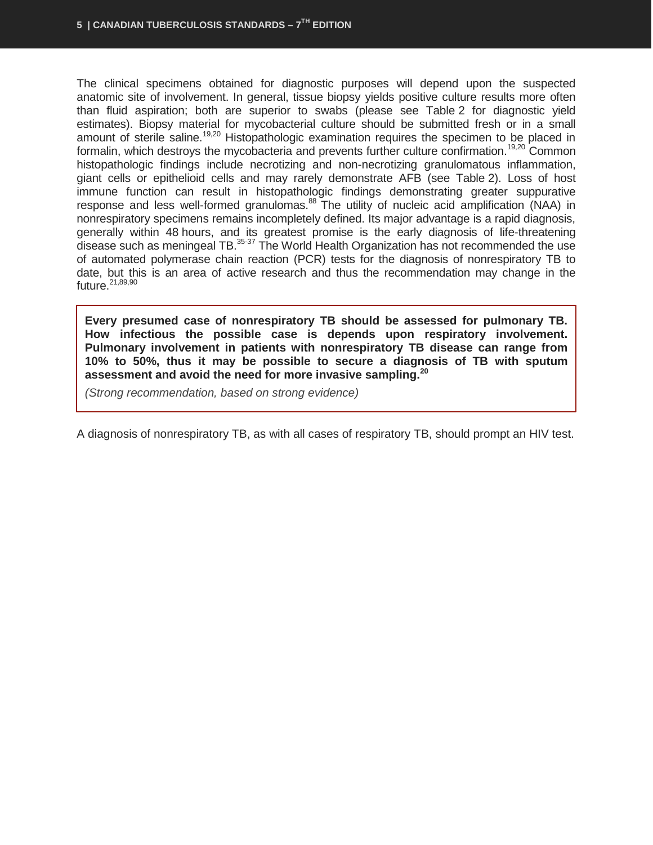The clinical specimens obtained for diagnostic purposes will depend upon the suspected anatomic site of involvement. In general, tissue biopsy yields positive culture results more often than fluid aspiration; both are superior to swabs (please see Table 2 for diagnostic yield estimates). Biopsy material for mycobacterial culture should be submitted fresh or in a small amount of sterile saline.<sup>19,20</sup> Histopathologic examination requires the specimen to be placed in formalin, which destroys the mycobacteria and prevents further culture confirmation.<sup>19,20</sup> Common histopathologic findings include necrotizing and non-necrotizing granulomatous inflammation, giant cells or epithelioid cells and may rarely demonstrate AFB (see Table 2). Loss of host immune function can result in histopathologic findings demonstrating greater suppurative response and less well-formed granulomas.<sup>88</sup> The utility of nucleic acid amplification (NAA) in nonrespiratory specimens remains incompletely defined. Its major advantage is a rapid diagnosis, generally within 48 hours, and its greatest promise is the early diagnosis of life-threatening disease such as meningeal TB.<sup>35-37</sup> The World Health Organization has not recommended the use of automated polymerase chain reaction (PCR) tests for the diagnosis of nonrespiratory TB to date, but this is an area of active research and thus the recommendation may change in the future.<sup>21,89,90</sup>

**Every presumed case of nonrespiratory TB should be assessed for pulmonary TB. How infectious the possible case is depends upon respiratory involvement. Pulmonary involvement in patients with nonrespiratory TB disease can range from 10% to 50%, thus it may be possible to secure a diagnosis of TB with sputum assessment and avoid the need for more invasive sampling. 20**

*(Strong recommendation, based on strong evidence)*

A diagnosis of nonrespiratory TB, as with all cases of respiratory TB, should prompt an HIV test.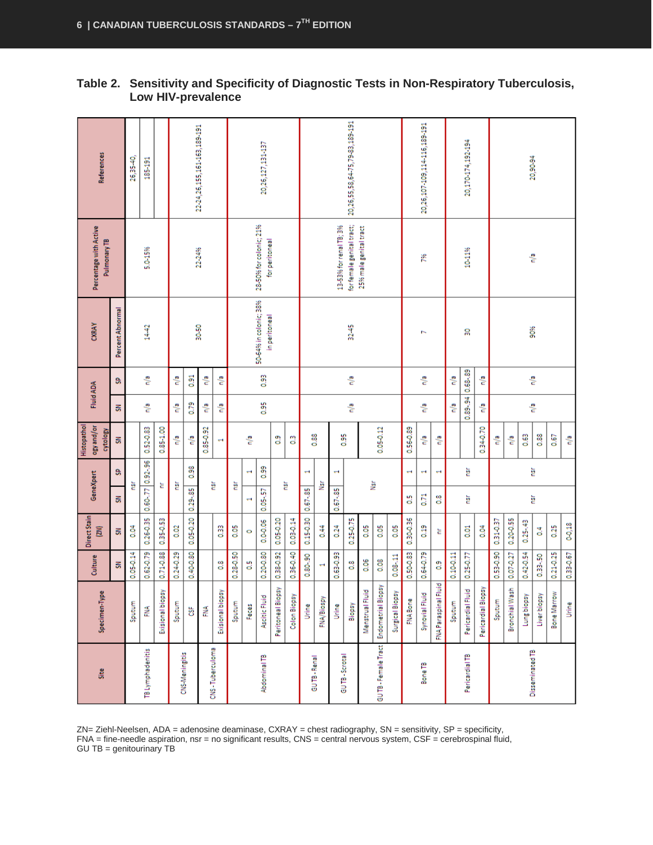|                  |                             | Culture       | Direct Stain  | GeneXpert       |                          | Histopathol            | Fluid ADA |                | <b>CXRAY</b>                            |                                           |                                 |
|------------------|-----------------------------|---------------|---------------|-----------------|--------------------------|------------------------|-----------|----------------|-----------------------------------------|-------------------------------------------|---------------------------------|
| Site             | Specimen-Type               |               | $\boxed{2N}$  |                 |                          | ogy and/or<br>cytology |           |                |                                         | Percentage with Active<br>Pulmonary TB    | References                      |
|                  |                             | 롡             | 롡             | 롡               | ₿                        | š                      | ვ         | æ              | Percent Abnormal                        |                                           |                                 |
|                  | Sputum                      | 0.05-0.14     | 0.04          | ĕ               |                          |                        |           |                |                                         |                                           | 26,35-40,                       |
| TB Lymphadenitis | ≨                           | $0.62 - 0.79$ | 0.26-0.35     | 0.60-77 0.92-96 |                          | 0.52-0.83              | e/a       | 팋              | $14 - 42$                               | 5.0-15%                                   | 185-191                         |
|                  | χã<br>Exisional bio         | 0.71-0.88     | 0.35-0.53     | 는               |                          | 0.85-1.00              |           |                |                                         |                                           |                                 |
|                  | Sputum                      | 0.24-0.29     | 0.02          | ĕ               |                          | 冒                      | 룰         | 륗              |                                         |                                           |                                 |
| CNS-Meningitis   | ä                           | 0.40-0.80     | $0.05 - 0.20$ | $0.29 - 85$     | $\frac{98}{2}$           | 흫                      | 0.79      | $\frac{51}{2}$ |                                         |                                           |                                 |
|                  | ≨                           |               |               |                 |                          | 0.85-0.92              | 륗         | 힣              | 30-50                                   | 22.24%                                    | 22-24,26,155,161-163,189-191    |
| CNS-Tuberculoma  | Exisional biopsy            | 3             | 0.33          | ĕ               |                          | ÷                      | 릏         | 륗              |                                         |                                           |                                 |
|                  | Sputum                      | 0.28-0.50     | $\frac{8}{3}$ | ë               |                          |                        |           |                |                                         |                                           |                                 |
|                  | Feces                       | 5,            | 0             |                 | t                        | 힣                      |           |                |                                         |                                           |                                 |
| Abdominal TB     | ē<br>Ascitic Flui           | 0.20-0.80     | 0.0-0.06      | $0.05 - 57$     | $\frac{99}{2}$           |                        | 0.95      | $\frac{6}{2}$  | 50-64% in colonic; 38%<br>in peritoneal | 28-50% for colonic; 21%<br>for peritoneal | 20,26,127,131-137               |
|                  | Peritoneal Biopsy           | 0.38-0.92     | 0.05-0.20     |                 |                          | ို့                    |           |                |                                         |                                           |                                 |
|                  | Colon Biopsy                | 0.36-0.40     | 0.03-0.14     | ĕ               |                          | g                      |           |                |                                         |                                           |                                 |
|                  | Urine                       | 0.80-,90      | 0.15-0.30     | $0.67 - 85$     | 4                        |                        |           |                |                                         |                                           |                                 |
| GUTB-Renal       | FNA/Biospy                  |               | 0.44          | ğ               |                          | 0.88                   |           |                |                                         |                                           |                                 |
| GUTB-Scrotal     | <b>S</b>                    | 0.63-0.93     | 0.24          | $0.67 - 85$     | 4                        | 0.95                   |           |                |                                         | 13-53% for renal TB; 3%                   |                                 |
|                  | Biopsy                      | ဒီ            | 0.25-0.75     |                 |                          |                        | e/a       | 힣              | $32-45$                                 | for female genital tract;                 | 20,26,55,58,64-75,79-83,189-191 |
|                  | Menstrual Fluid             | 0.06          | 0.05          |                 |                          |                        |           |                |                                         | 25% male genital tract                    |                                 |
| GUTB-FemaleTract | Endometrial Biopsy          | 80.0          | 0.05          | ğ               |                          | 0.05-0.12              |           |                |                                         |                                           |                                 |
|                  | Surgical Biopsy             | $0.08 - 11$   | $\frac{8}{3}$ |                 |                          |                        |           |                |                                         |                                           |                                 |
|                  | <b>FNA Bone</b>             | 0.50-0.83     | 0.30-0.36     | ă               | ÷                        | 0.56-0.89              |           |                |                                         |                                           |                                 |
| Bone TB          | Synovial Fluid              | 0.64-0.79     | 0.19          | 0.71            | 1                        | 륗                      | 힣         | 륗              | N                                       | ž,                                        | 20,26,107-109,114-116,189-191   |
|                  | <b>FNA Paraspinal Fluid</b> | ္မိ           | ă             | 8               | $\overline{\phantom{a}}$ | 을                      |           |                |                                         |                                           |                                 |
|                  | Sputum                      | 0.10-0.11     |               |                 |                          |                        | e/a       | 팋              |                                         |                                           |                                 |
| Pericardial TB   | Pericardial Fluid           | $0.25 - 0.77$ | 0.01          | ĕ               | ĕ                        |                        | 0.89-94   | 0.68-89        | 웄                                       | 10-11%                                    | 20,170-174,192-194              |
|                  | Pericardial Biopsy          |               | $\frac{3}{2}$ |                 |                          | 0.34-0.70              | 릏         | 륗              |                                         |                                           |                                 |
|                  | Sputum                      | 0.53-0.90     | 0.31-0.37     |                 |                          | 릏                      |           |                |                                         |                                           |                                 |
|                  | Bronchial Wash              | 0.07-0.27     | 0.20-0.55     |                 |                          | 륗                      |           |                |                                         |                                           |                                 |
| Disseminated TB  | Lung biopsy                 | 0.42-0.54     | $0.25 - 43$   | ĕ               | ĕ                        | 0.63                   | 칳         | 칳              | \$                                      | 룋                                         | 20,90.94                        |
|                  | Liver biopsy                | 0.33-50       | 3             |                 |                          | 0.88                   |           |                |                                         |                                           |                                 |
|                  | Bone Marrow                 | 0.21-0.25     | 0.25          |                 |                          | 0.67                   |           |                |                                         |                                           |                                 |
|                  | <b>Solution</b>             | $0.33 - 0.67$ | 0-0,18        |                 |                          | n/a                    |           |                |                                         |                                           |                                 |

## **Table 2. Sensitivity and Specificity of Diagnostic Tests in Non-Respiratory Tuberculosis, Low HIV-prevalence**

ZN= Ziehl-Neelsen, ADA = adenosine deaminase, CXRAY = chest radiography, SN = sensitivity, SP = specificity, FNA = fine-needle aspiration, nsr = no significant results, CNS = central nervous system, CSF = cerebrospinal fluid, GU TB = genitourinary TB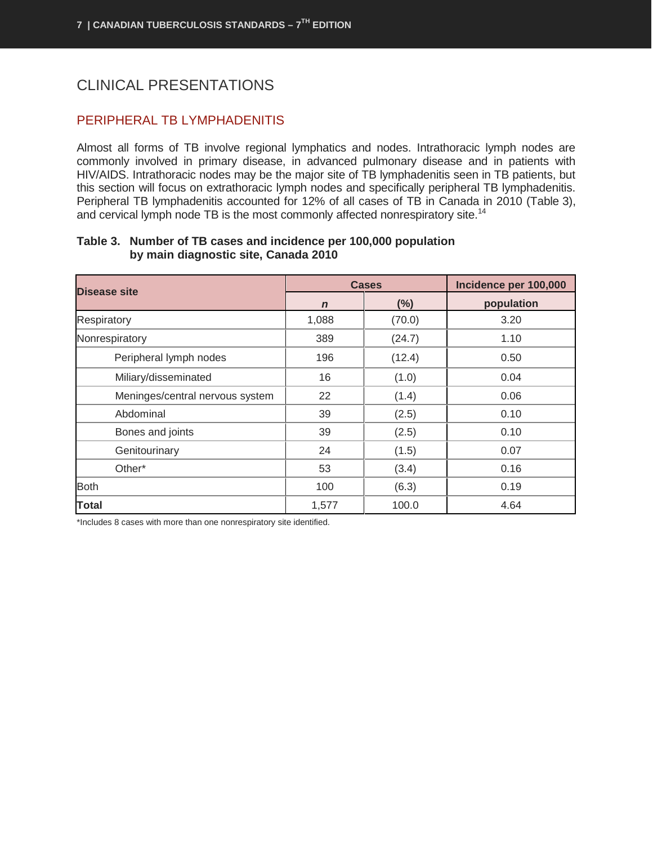# <span id="page-8-0"></span>CLINICAL PRESENTATIONS

# <span id="page-8-1"></span>PERIPHERAL TB LYMPHADENITIS

Almost all forms of TB involve regional lymphatics and nodes. Intrathoracic lymph nodes are commonly involved in primary disease, in advanced pulmonary disease and in patients with HIV/AIDS. Intrathoracic nodes may be the major site of TB lymphadenitis seen in TB patients, but this section will focus on extrathoracic lymph nodes and specifically peripheral TB lymphadenitis. Peripheral TB lymphadenitis accounted for 12% of all cases of TB in Canada in 2010 (Table 3), and cervical lymph node TB is the most commonly affected nonrespiratory site.<sup>14</sup>

| <b>Disease site</b>             |             | <b>Cases</b> | Incidence per 100,000 |
|---------------------------------|-------------|--------------|-----------------------|
|                                 | $\mathbf n$ | $(\%)$       | population            |
| Respiratory                     | 1,088       | (70.0)       | 3.20                  |
| Nonrespiratory                  | 389         | (24.7)       | 1.10                  |
| Peripheral lymph nodes          | 196         | (12.4)       | 0.50                  |
| Miliary/disseminated            | 16          | (1.0)        | 0.04                  |
| Meninges/central nervous system | 22          | (1.4)        | 0.06                  |
| Abdominal                       | 39          | (2.5)        | 0.10                  |
| Bones and joints                | 39          | (2.5)        | 0.10                  |
| Genitourinary                   | 24          | (1.5)        | 0.07                  |
| Other*                          | 53          | (3.4)        | 0.16                  |
| <b>Both</b>                     | 100         | (6.3)        | 0.19                  |
| <b>Total</b>                    | 1,577       | 100.0        | 4.64                  |

#### **Table 3. Number of TB cases and incidence per 100,000 population by main diagnostic site, Canada 2010**

\*Includes 8 cases with more than one nonrespiratory site identified.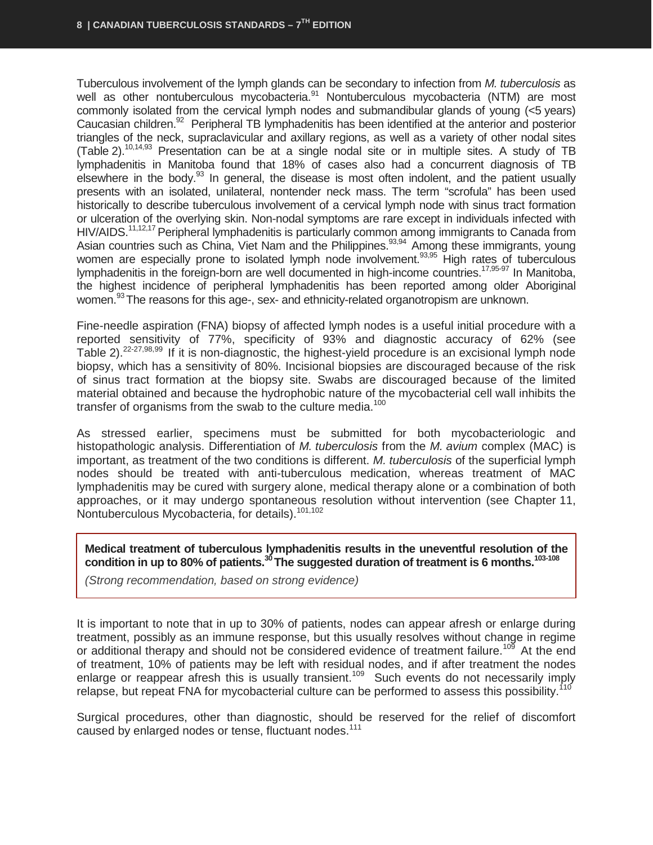Tuberculous involvement of the lymph glands can be secondary to infection from *M. tuberculosis* as well as other nontuberculous mycobacteria.<sup>91</sup> Nontuberculous mycobacteria (NTM) are most commonly isolated from the cervical lymph nodes and submandibular glands of young (<5 years) Caucasian children.92 Peripheral TB lymphadenitis has been identified at the anterior and posterior triangles of the neck, supraclavicular and axillary regions, as well as a variety of other nodal sites (Table 2).<sup>10,14,93</sup> Presentation can be at a single nodal site or in multiple sites. A study of TB lymphadenitis in Manitoba found that 18% of cases also had a concurrent diagnosis of TB elsewhere in the body.<sup>93</sup> In general, the disease is most often indolent, and the patient usually presents with an isolated, unilateral, nontender neck mass. The term "scrofula" has been used historically to describe tuberculous involvement of a cervical lymph node with sinus tract formation or ulceration of the overlying skin. Non-nodal symptoms are rare except in individuals infected with HIV/AIDS.11,12,17 Peripheral lymphadenitis is particularly common among immigrants to Canada from Asian countries such as China, Viet Nam and the Philippines.<sup>93,94</sup> Among these immigrants, young women are especially prone to isolated lymph node involvement.<sup>93,95</sup> High rates of tuberculous lymphadenitis in the foreign-born are well documented in high-income countries.<sup>17,95-97</sup> In Manitoba, the highest incidence of peripheral lymphadenitis has been reported among older Aboriginal women.<sup>93</sup> The reasons for this age-, sex- and ethnicity-related organotropism are unknown.

Fine-needle aspiration (FNA) biopsy of affected lymph nodes is a useful initial procedure with a reported sensitivity of 77%, specificity of 93% and diagnostic accuracy of 62% (see Table 2).22-27,98,99 If it is non-diagnostic, the highest-yield procedure is an excisional lymph node biopsy, which has a sensitivity of 80%. Incisional biopsies are discouraged because of the risk of sinus tract formation at the biopsy site. Swabs are discouraged because of the limited material obtained and because the hydrophobic nature of the mycobacterial cell wall inhibits the transfer of organisms from the swab to the culture media.<sup>100</sup>

As stressed earlier, specimens must be submitted for both mycobacteriologic and histopathologic analysis. Differentiation of *M. tuberculosis* from the *M. avium* complex (MAC) is important, as treatment of the two conditions is different. *M. tuberculosis* of the superficial lymph nodes should be treated with anti-tuberculous medication, whereas treatment of MAC lymphadenitis may be cured with surgery alone, medical therapy alone or a combination of both approaches, or it may undergo spontaneous resolution without intervention (see Chapter 11, Nontuberculous Mycobacteria, for details).101,102

**Medical treatment of tuberculous lymphadenitis results in the uneventful resolution of the**  condition in up to 80% of patients.<sup>30</sup> The suggested duration of treatment is 6 months.<sup>103-108</sup>

*(Strong recommendation, based on strong evidence)*

It is important to note that in up to 30% of patients, nodes can appear afresh or enlarge during treatment, possibly as an immune response, but this usually resolves without change in regime or additional therapy and should not be considered evidence of treatment failure.<sup>109</sup> At the end of treatment, 10% of patients may be left with residual nodes, and if after treatment the nodes enlarge or reappear afresh this is usually transient.<sup>109</sup> Such events do not necessarily imply relapse, but repeat FNA for mycobacterial culture can be performed to assess this possibility.<sup>110</sup>

Surgical procedures, other than diagnostic, should be reserved for the relief of discomfort caused by enlarged nodes or tense, fluctuant nodes.<sup>111</sup>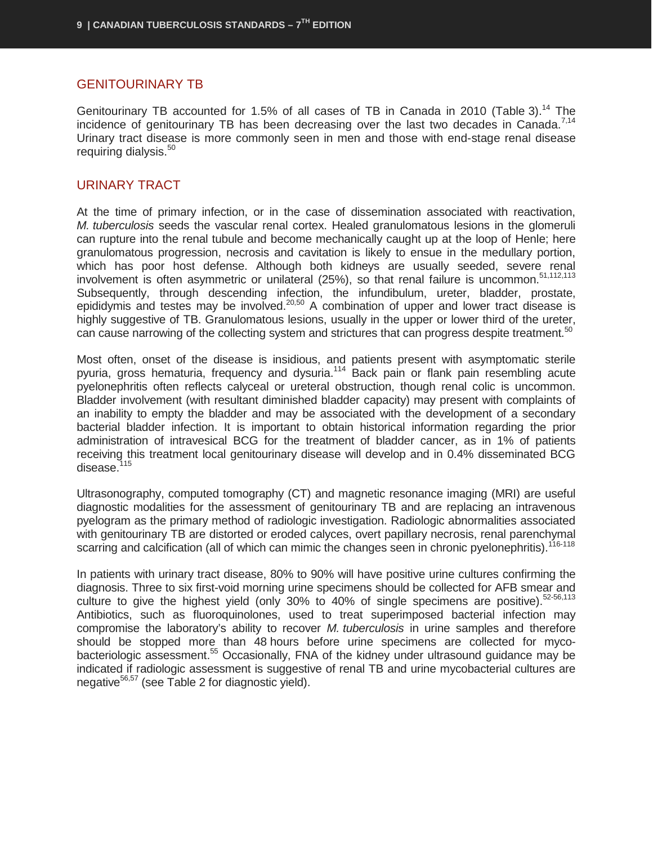#### <span id="page-10-0"></span>GENITOURINARY TB

Genitourinary TB accounted for 1.5% of all cases of TB in Canada in 2010 (Table 3).<sup>14</sup> The incidence of genitourinary TB has been decreasing over the last two decades in Canada.<sup>7,14</sup> Urinary tract disease is more commonly seen in men and those with end-stage renal disease requiring dialysis.<sup>50</sup>

#### <span id="page-10-1"></span>URINARY TRACT

At the time of primary infection, or in the case of dissemination associated with reactivation, *M. tuberculosis* seeds the vascular renal cortex. Healed granulomatous lesions in the glomeruli can rupture into the renal tubule and become mechanically caught up at the loop of Henle; here granulomatous progression, necrosis and cavitation is likely to ensue in the medullary portion, which has poor host defense. Although both kidneys are usually seeded, severe renal involvement is often asymmetric or unilateral (25%), so that renal failure is uncommon.<sup>51,112,113</sup> Subsequently, through descending infection, the infundibulum, ureter, bladder, prostate, epididymis and testes may be involved.<sup>20,50</sup> A combination of upper and lower tract disease is highly suggestive of TB. Granulomatous lesions, usually in the upper or lower third of the ureter, can cause narrowing of the collecting system and strictures that can progress despite treatment.<sup>50</sup>

Most often, onset of the disease is insidious, and patients present with asymptomatic sterile pyuria, gross hematuria, frequency and dysuria.<sup>114</sup> Back pain or flank pain resembling acute pyelonephritis often reflects calyceal or ureteral obstruction, though renal colic is uncommon. Bladder involvement (with resultant diminished bladder capacity) may present with complaints of an inability to empty the bladder and may be associated with the development of a secondary bacterial bladder infection. It is important to obtain historical information regarding the prior administration of intravesical BCG for the treatment of bladder cancer, as in 1% of patients receiving this treatment local genitourinary disease will develop and in 0.4% disseminated BCG disease. $115$ 

Ultrasonography, computed tomography (CT) and magnetic resonance imaging (MRI) are useful diagnostic modalities for the assessment of genitourinary TB and are replacing an intravenous pyelogram as the primary method of radiologic investigation. Radiologic abnormalities associated with genitourinary TB are distorted or eroded calyces, overt papillary necrosis, renal parenchymal scarring and calcification (all of which can mimic the changes seen in chronic pyelonephritis).<sup>116-118</sup>

In patients with urinary tract disease, 80% to 90% will have positive urine cultures confirming the diagnosis. Three to six first-void morning urine specimens should be collected for AFB smear and culture to give the highest yield (only 30% to 40% of single specimens are positive). $52-56,113$ Antibiotics, such as fluoroquinolones, used to treat superimposed bacterial infection may compromise the laboratory's ability to recover *M. tuberculosis* in urine samples and therefore should be stopped more than 48 hours before urine specimens are collected for mycobacteriologic assessment.<sup>55</sup> Occasionally, FNA of the kidney under ultrasound guidance may be indicated if radiologic assessment is suggestive of renal TB and urine mycobacterial cultures are negative<sup>56,57</sup> (see Table 2 for diagnostic yield).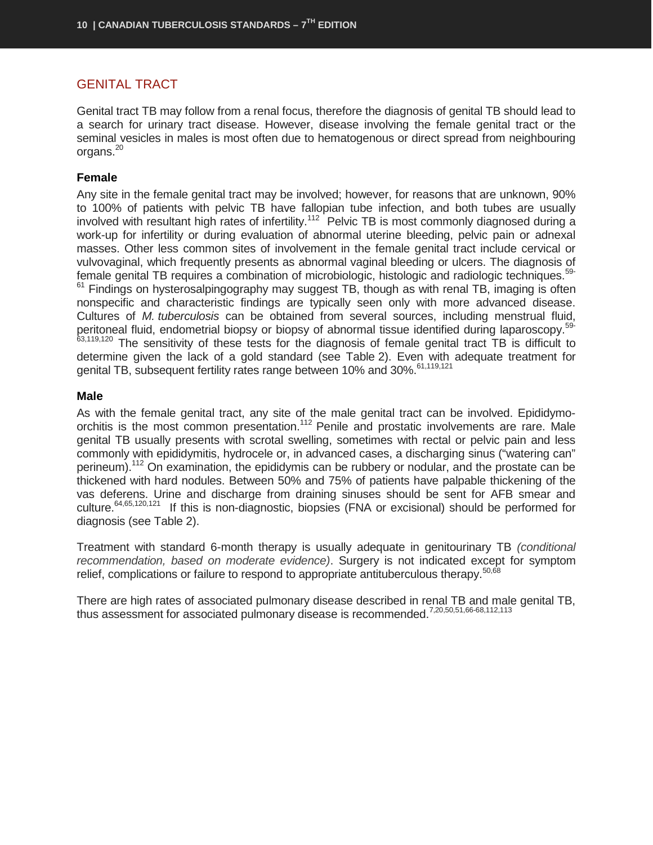## <span id="page-11-0"></span>GENITAL TRACT

Genital tract TB may follow from a renal focus, therefore the diagnosis of genital TB should lead to a search for urinary tract disease. However, disease involving the female genital tract or the seminal vesicles in males is most often due to hematogenous or direct spread from neighbouring organs.20

#### **Female**

Any site in the female genital tract may be involved; however, for reasons that are unknown, 90% to 100% of patients with pelvic TB have fallopian tube infection, and both tubes are usually involved with resultant high rates of infertility.<sup>112</sup> Pelvic TB is most commonly diagnosed during a work-up for infertility or during evaluation of abnormal uterine bleeding, pelvic pain or adnexal masses. Other less common sites of involvement in the female genital tract include cervical or vulvovaginal, which frequently presents as abnormal vaginal bleeding or ulcers. The diagnosis of female genital TB requires a combination of microbiologic, histologic and radiologic techniques.59-  $61$  Findings on hysterosalpingography may suggest TB, though as with renal TB, imaging is often nonspecific and characteristic findings are typically seen only with more advanced disease. Cultures of *M. tuberculosis* can be obtained from several sources, including menstrual fluid, peritoneal fluid, endometrial biopsy or biopsy of abnormal tissue identified during laparoscopy.<sup>59-</sup>  $63,119,120$  The sensitivity of these tests for the diagnosis of female genital tract TB is difficult to determine given the lack of a gold standard (see Table 2). Even with adequate treatment for genital TB, subsequent fertility rates range between 10% and 30%.<sup>61,119,121</sup>

#### **Male**

As with the female genital tract, any site of the male genital tract can be involved. Epididymoorchitis is the most common presentation.<sup>112</sup> Penile and prostatic involvements are rare. Male genital TB usually presents with scrotal swelling, sometimes with rectal or pelvic pain and less commonly with epididymitis, hydrocele or, in advanced cases, a discharging sinus ("watering can" perineum).112 On examination, the epididymis can be rubbery or nodular, and the prostate can be thickened with hard nodules. Between 50% and 75% of patients have palpable thickening of the vas deferens. Urine and discharge from draining sinuses should be sent for AFB smear and culture.64,65,120,121 If this is non-diagnostic, biopsies (FNA or excisional) should be performed for diagnosis (see Table 2).

Treatment with standard 6-month therapy is usually adequate in genitourinary TB *(conditional recommendation, based on moderate evidence)*. Surgery is not indicated except for symptom relief, complications or failure to respond to appropriate antituberculous therapy.<sup>50,68</sup>

There are high rates of associated pulmonary disease described in renal TB and male genital TB, thus assessment for associated pulmonary disease is recommended.7,20,50,51,66-68,112,113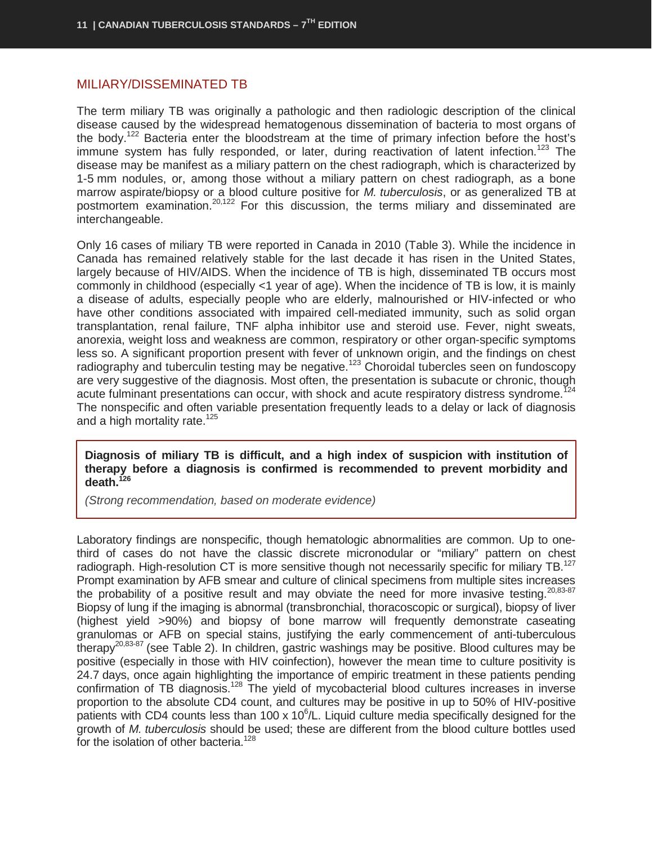#### <span id="page-12-0"></span>MILIARY/DISSEMINATED TB

The term miliary TB was originally a pathologic and then radiologic description of the clinical disease caused by the widespread hematogenous dissemination of bacteria to most organs of the body.<sup>122</sup> Bacteria enter the bloodstream at the time of primary infection before the host's immune system has fully responded, or later, during reactivation of latent infection.<sup>123</sup> The disease may be manifest as a miliary pattern on the chest radiograph, which is characterized by 1-5 mm nodules, or, among those without a miliary pattern on chest radiograph, as a bone marrow aspirate/biopsy or a blood culture positive for *M. tuberculosis*, or as generalized TB at postmortem examination.<sup>20,122</sup> For this discussion, the terms miliary and disseminated are interchangeable.

Only 16 cases of miliary TB were reported in Canada in 2010 (Table 3). While the incidence in Canada has remained relatively stable for the last decade it has risen in the United States, largely because of HIV/AIDS. When the incidence of TB is high, disseminated TB occurs most commonly in childhood (especially <1 year of age). When the incidence of TB is low, it is mainly a disease of adults, especially people who are elderly, malnourished or HIV-infected or who have other conditions associated with impaired cell-mediated immunity, such as solid organ transplantation, renal failure, TNF alpha inhibitor use and steroid use. Fever, night sweats, anorexia, weight loss and weakness are common, respiratory or other organ-specific symptoms less so. A significant proportion present with fever of unknown origin, and the findings on chest radiography and tuberculin testing may be negative.<sup>123</sup> Choroidal tubercles seen on fundoscopy are very suggestive of the diagnosis. Most often, the presentation is subacute or chronic, though acute fulminant presentations can occur, with shock and acute respiratory distress syndrome.<sup> $724$ </sup> The nonspecific and often variable presentation frequently leads to a delay or lack of diagnosis and a high mortality rate.<sup>125</sup>

**Diagnosis of miliary TB is difficult, and a high index of suspicion with institution of therapy before a diagnosis is confirmed is recommended to prevent morbidity and death.126**

*(Strong recommendation, based on moderate evidence)*

Laboratory findings are nonspecific, though hematologic abnormalities are common. Up to onethird of cases do not have the classic discrete micronodular or "miliary" pattern on chest radiograph. High-resolution CT is more sensitive though not necessarily specific for miliary TB.<sup>127</sup> Prompt examination by AFB smear and culture of clinical specimens from multiple sites increases the probability of a positive result and may obviate the need for more invasive testing.  $20,83-87$ Biopsy of lung if the imaging is abnormal (transbronchial, thoracoscopic or surgical), biopsy of liver (highest yield >90%) and biopsy of bone marrow will frequently demonstrate caseating granulomas or AFB on special stains, justifying the early commencement of anti-tuberculous therapy<sup>20,83-87</sup> (see Table 2). In children, gastric washings may be positive. Blood cultures may be positive (especially in those with HIV coinfection), however the mean time to culture positivity is 24.7 days, once again highlighting the importance of empiric treatment in these patients pending confirmation of TB diagnosis.<sup>128</sup> The yield of mycobacterial blood cultures increases in inverse proportion to the absolute CD4 count, and cultures may be positive in up to 50% of HIV-positive patients with CD4 counts less than 100 x 10<sup>6</sup>/L. Liquid culture media specifically designed for the growth of *M. tuberculosis* should be used; these are different from the blood culture bottles used for the isolation of other bacteria.<sup>128</sup>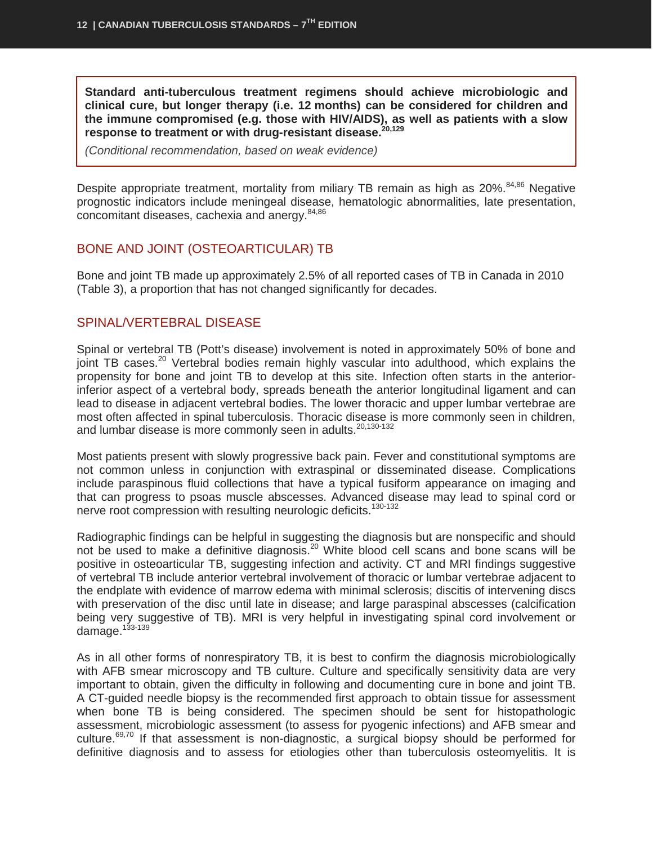**Standard anti-tuberculous treatment regimens should achieve microbiologic and clinical cure, but longer therapy (i.e. 12 months) can be considered for children and the immune compromised (e.g. those with HIV/AIDS), as well as patients with a slow response to treatment or with drug-resistant disease.20,129**

*(Conditional recommendation, based on weak evidence)*

Despite appropriate treatment, mortality from miliary TB remain as high as 20%.<sup>84,86</sup> Negative prognostic indicators include meningeal disease, hematologic abnormalities, late presentation, concomitant diseases, cachexia and anergy. $84,86$ 

## <span id="page-13-0"></span>BONE AND JOINT (OSTEOARTICULAR) TB

Bone and joint TB made up approximately 2.5% of all reported cases of TB in Canada in 2010 (Table 3), a proportion that has not changed significantly for decades.

#### <span id="page-13-1"></span>SPINAL/VERTEBRAL DISEASE

Spinal or vertebral TB (Pott's disease) involvement is noted in approximately 50% of bone and joint TB cases.<sup>20</sup> Vertebral bodies remain highly vascular into adulthood, which explains the propensity for bone and joint TB to develop at this site. Infection often starts in the anteriorinferior aspect of a vertebral body, spreads beneath the anterior longitudinal ligament and can lead to disease in adjacent vertebral bodies. The lower thoracic and upper lumbar vertebrae are most often affected in spinal tuberculosis. Thoracic disease is more commonly seen in children, and lumbar disease is more commonly seen in adults.<sup>20,130-132</sup>

Most patients present with slowly progressive back pain. Fever and constitutional symptoms are not common unless in conjunction with extraspinal or disseminated disease. Complications include paraspinous fluid collections that have a typical fusiform appearance on imaging and that can progress to psoas muscle abscesses. Advanced disease may lead to spinal cord or nerve root compression with resulting neurologic deficits.<sup>130-132</sup>

Radiographic findings can be helpful in suggesting the diagnosis but are nonspecific and should not be used to make a definitive diagnosis.<sup>20</sup> White blood cell scans and bone scans will be positive in osteoarticular TB, suggesting infection and activity. CT and MRI findings suggestive of vertebral TB include anterior vertebral involvement of thoracic or lumbar vertebrae adjacent to the endplate with evidence of marrow edema with minimal sclerosis; discitis of intervening discs with preservation of the disc until late in disease; and large paraspinal abscesses (calcification being very suggestive of TB). MRI is very helpful in investigating spinal cord involvement or damage.<sup>133-139</sup>

As in all other forms of nonrespiratory TB, it is best to confirm the diagnosis microbiologically with AFB smear microscopy and TB culture. Culture and specifically sensitivity data are very important to obtain, given the difficulty in following and documenting cure in bone and joint TB. A CT-guided needle biopsy is the recommended first approach to obtain tissue for assessment when bone TB is being considered. The specimen should be sent for histopathologic assessment, microbiologic assessment (to assess for pyogenic infections) and AFB smear and culture.69,70 If that assessment is non-diagnostic, a surgical biopsy should be performed for definitive diagnosis and to assess for etiologies other than tuberculosis osteomyelitis. It is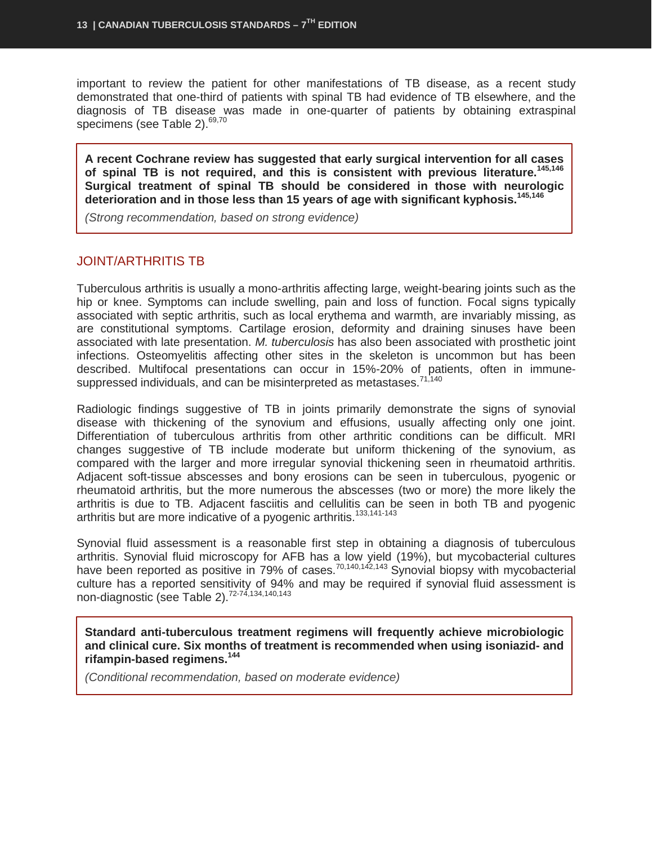important to review the patient for other manifestations of TB disease, as a recent study demonstrated that one-third of patients with spinal TB had evidence of TB elsewhere, and the diagnosis of TB disease was made in one-quarter of patients by obtaining extraspinal specimens (see Table 2).<sup>69,70</sup>

**A recent Cochrane review has suggested that early surgical intervention for all cases of spinal TB is not required, and this is consistent with previous literature.145,146 Surgical treatment of spinal TB should be considered in those with neurologic deterioration and in those less than 15 years of age with significant kyphosis.145,146**

*(Strong recommendation, based on strong evidence)*

#### <span id="page-14-0"></span>JOINT/ARTHRITIS TB

Tuberculous arthritis is usually a mono-arthritis affecting large, weight-bearing joints such as the hip or knee. Symptoms can include swelling, pain and loss of function. Focal signs typically associated with septic arthritis, such as local erythema and warmth, are invariably missing, as are constitutional symptoms. Cartilage erosion, deformity and draining sinuses have been associated with late presentation. *M. tuberculosis* has also been associated with prosthetic joint infections. Osteomyelitis affecting other sites in the skeleton is uncommon but has been described. Multifocal presentations can occur in 15%-20% of patients, often in immunesuppressed individuals, and can be misinterpreted as metastases.<sup>71,140</sup>

Radiologic findings suggestive of TB in joints primarily demonstrate the signs of synovial disease with thickening of the synovium and effusions, usually affecting only one joint. Differentiation of tuberculous arthritis from other arthritic conditions can be difficult. MRI changes suggestive of TB include moderate but uniform thickening of the synovium, as compared with the larger and more irregular synovial thickening seen in rheumatoid arthritis. Adjacent soft-tissue abscesses and bony erosions can be seen in tuberculous, pyogenic or rheumatoid arthritis, but the more numerous the abscesses (two or more) the more likely the arthritis is due to TB. Adjacent fasciitis and cellulitis can be seen in both TB and pyogenic arthritis but are more indicative of a pyogenic arthritis.<sup>133,141-143</sup>

Synovial fluid assessment is a reasonable first step in obtaining a diagnosis of tuberculous arthritis. Synovial fluid microscopy for AFB has a low yield (19%), but mycobacterial cultures have been reported as positive in 79% of cases.<sup>70,140,142,143</sup> Synovial biopsy with mycobacterial culture has a reported sensitivity of 94% and may be required if synovial fluid assessment is non-diagnostic (see Table 2).<sup>72-74,134,140,143</sup>

**Standard anti-tuberculous treatment regimens will frequently achieve microbiologic and clinical cure. Six months of treatment is recommended when using isoniazid- and rifampin-based regimens.<sup>144</sup>**

*(Conditional recommendation, based on moderate evidence)*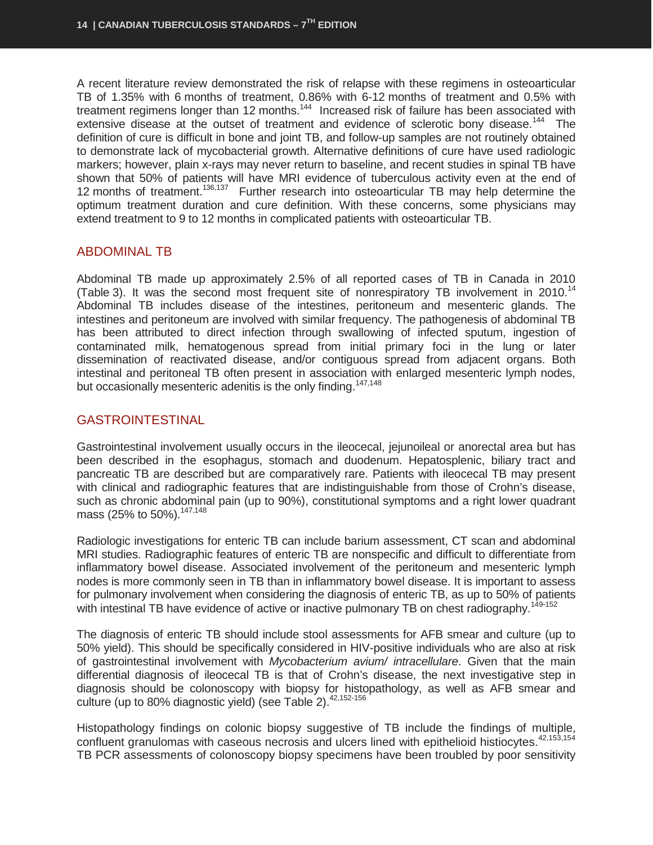A recent literature review demonstrated the risk of relapse with these regimens in osteoarticular TB of 1.35% with 6 months of treatment, 0.86% with 6-12 months of treatment and 0.5% with treatment regimens longer than 12 months.<sup>144</sup> Increased risk of failure has been associated with extensive disease at the outset of treatment and evidence of sclerotic bony disease.<sup>144</sup> The definition of cure is difficult in bone and joint TB, and follow-up samples are not routinely obtained to demonstrate lack of mycobacterial growth. Alternative definitions of cure have used radiologic markers; however, plain x-rays may never return to baseline, and recent studies in spinal TB have shown that 50% of patients will have MRI evidence of tuberculous activity even at the end of 12 months of treatment.<sup>136,137</sup> Further research into osteoarticular TB may help determine the optimum treatment duration and cure definition. With these concerns, some physicians may extend treatment to 9 to 12 months in complicated patients with osteoarticular TB.

## <span id="page-15-0"></span>ABDOMINAL TB

Abdominal TB made up approximately 2.5% of all reported cases of TB in Canada in 2010 (Table 3). It was the second most frequent site of nonrespiratory TB involvement in 2010.<sup>14</sup> Abdominal TB includes disease of the intestines, peritoneum and mesenteric glands. The intestines and peritoneum are involved with similar frequency. The pathogenesis of abdominal TB has been attributed to direct infection through swallowing of infected sputum, ingestion of contaminated milk, hematogenous spread from initial primary foci in the lung or later dissemination of reactivated disease, and/or contiguous spread from adjacent organs. Both intestinal and peritoneal TB often present in association with enlarged mesenteric lymph nodes, but occasionally mesenteric adenitis is the only finding.<sup>147,148</sup>

# <span id="page-15-1"></span>GASTROINTESTINAL

Gastrointestinal involvement usually occurs in the ileocecal, jejunoileal or anorectal area but has been described in the esophagus, stomach and duodenum. Hepatosplenic, biliary tract and pancreatic TB are described but are comparatively rare. Patients with ileocecal TB may present with clinical and radiographic features that are indistinguishable from those of Crohn's disease, such as chronic abdominal pain (up to 90%), constitutional symptoms and a right lower quadrant mass (25% to 50%).<sup>147,148</sup>

Radiologic investigations for enteric TB can include barium assessment, CT scan and abdominal MRI studies. Radiographic features of enteric TB are nonspecific and difficult to differentiate from inflammatory bowel disease. Associated involvement of the peritoneum and mesenteric lymph nodes is more commonly seen in TB than in inflammatory bowel disease. It is important to assess for pulmonary involvement when considering the diagnosis of enteric TB, as up to 50% of patients with intestinal TB have evidence of active or inactive pulmonary TB on chest radiography.<sup>149-152</sup>

The diagnosis of enteric TB should include stool assessments for AFB smear and culture (up to 50% yield). This should be specifically considered in HIV-positive individuals who are also at risk of gastrointestinal involvement with *Mycobacterium avium/ intracellulare*. Given that the main differential diagnosis of ileocecal TB is that of Crohn's disease, the next investigative step in diagnosis should be colonoscopy with biopsy for histopathology, as well as AFB smear and culture (up to 80% diagnostic yield) (see Table 2).<sup>42,152-156</sup>

Histopathology findings on colonic biopsy suggestive of TB include the findings of multiple, confluent granulomas with caseous necrosis and ulcers lined with epithelioid histiocytes.42,153,154 TB PCR assessments of colonoscopy biopsy specimens have been troubled by poor sensitivity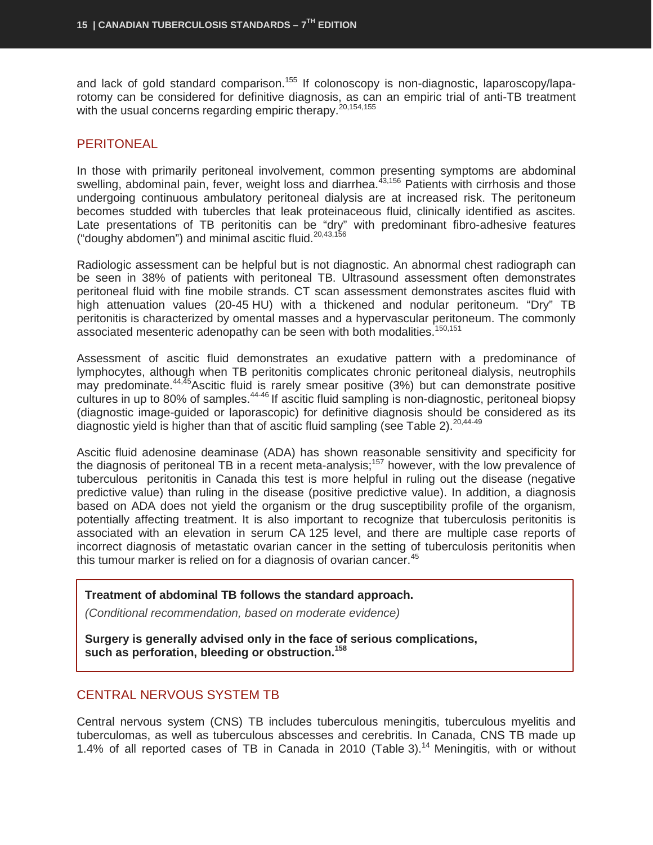and lack of gold standard comparison.<sup>155</sup> If colonoscopy is non-diagnostic, laparoscopy/laparotomy can be considered for definitive diagnosis, as can an empiric trial of anti-TB treatment with the usual concerns regarding empiric therapy.<sup>20,154,155</sup>

## <span id="page-16-0"></span>PERITONEAL

In those with primarily peritoneal involvement, common presenting symptoms are abdominal swelling, abdominal pain, fever, weight loss and diarrhea.<sup>43,156</sup> Patients with cirrhosis and those undergoing continuous ambulatory peritoneal dialysis are at increased risk. The peritoneum becomes studded with tubercles that leak proteinaceous fluid, clinically identified as ascites. Late presentations of TB peritonitis can be "dry" with predominant fibro-adhesive features ("doughy abdomen") and minimal ascitic fluid. $20,43,156$ 

Radiologic assessment can be helpful but is not diagnostic. An abnormal chest radiograph can be seen in 38% of patients with peritoneal TB. Ultrasound assessment often demonstrates peritoneal fluid with fine mobile strands. CT scan assessment demonstrates ascites fluid with high attenuation values (20-45 HU) with a thickened and nodular peritoneum. "Dry" TB peritonitis is characterized by omental masses and a hypervascular peritoneum. The commonly associated mesenteric adenopathy can be seen with both modalities.<sup>150,151</sup>

Assessment of ascitic fluid demonstrates an exudative pattern with a predominance of lymphocytes, although when TB peritonitis complicates chronic peritoneal dialysis, neutrophils may predominate.<sup>44,45</sup>Ascitic fluid is rarely smear positive (3%) but can demonstrate positive cultures in up to 80% of samples.<sup>44-46</sup> If ascitic fluid sampling is non-diagnostic, peritoneal biopsy (diagnostic image-guided or laporascopic) for definitive diagnosis should be considered as its diagnostic yield is higher than that of ascitic fluid sampling (see Table 2).  $20,44-49$ 

Ascitic fluid adenosine deaminase (ADA) has shown reasonable sensitivity and specificity for the diagnosis of peritoneal TB in a recent meta-analysis;<sup>157</sup> however, with the low prevalence of tuberculous peritonitis in Canada this test is more helpful in ruling out the disease (negative predictive value) than ruling in the disease (positive predictive value). In addition, a diagnosis based on ADA does not yield the organism or the drug susceptibility profile of the organism, potentially affecting treatment. It is also important to recognize that tuberculosis peritonitis is associated with an elevation in serum CA 125 level, and there are multiple case reports of incorrect diagnosis of metastatic ovarian cancer in the setting of tuberculosis peritonitis when this tumour marker is relied on for a diagnosis of ovarian cancer. $45$ 

#### **Treatment of abdominal TB follows the standard approach.**

*(Conditional recommendation, based on moderate evidence)*

**Surgery is generally advised only in the face of serious complications, such as perforation, bleeding or obstruction.<sup>158</sup>**

## <span id="page-16-1"></span>CENTRAL NERVOUS SYSTEM TB

Central nervous system (CNS) TB includes tuberculous meningitis, tuberculous myelitis and tuberculomas, as well as tuberculous abscesses and cerebritis. In Canada, CNS TB made up 1.4% of all reported cases of TB in Canada in 2010 (Table 3).<sup>14</sup> Meningitis, with or without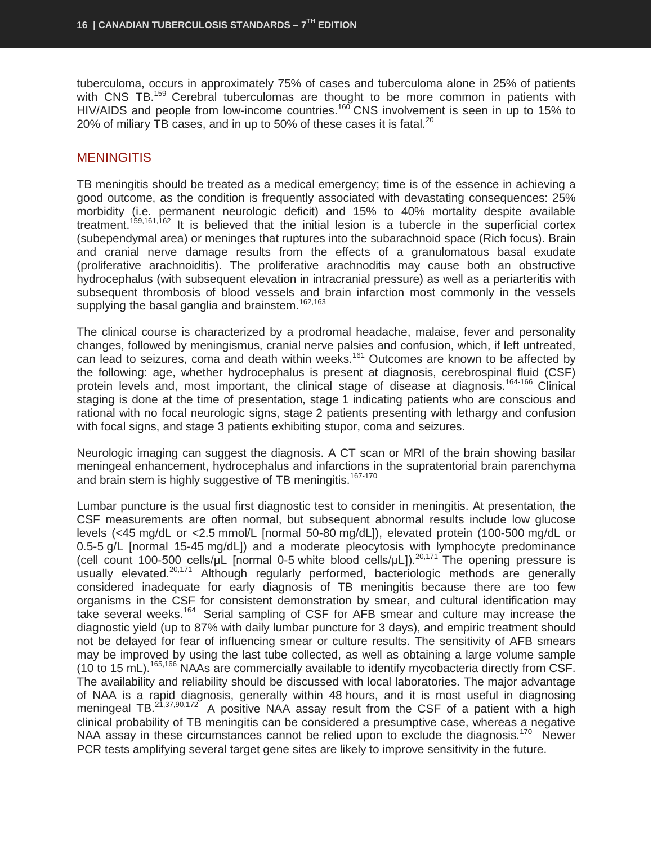tuberculoma, occurs in approximately 75% of cases and tuberculoma alone in 25% of patients with CNS TB.<sup>159</sup> Cerebral tuberculomas are thought to be more common in patients with HIV/AIDS and people from low-income countries.<sup>160</sup> CNS involvement is seen in up to 15% to 20% of miliary TB cases, and in up to 50% of these cases it is fatal.<sup>20</sup>

### <span id="page-17-0"></span>**MENINGITIS**

TB meningitis should be treated as a medical emergency; time is of the essence in achieving a good outcome, as the condition is frequently associated with devastating consequences: 25% morbidity (i.e. permanent neurologic deficit) and 15% to 40% mortality despite available treatment.<sup>159,161,162</sup> It is believed that the initial lesion is a tubercle in the superficial cortex (subependymal area) or meninges that ruptures into the subarachnoid space (Rich focus). Brain and cranial nerve damage results from the effects of a granulomatous basal exudate (proliferative arachnoiditis). The proliferative arachnoditis may cause both an obstructive hydrocephalus (with subsequent elevation in intracranial pressure) as well as a periarteritis with subsequent thrombosis of blood vessels and brain infarction most commonly in the vessels supplying the basal ganglia and brainstem.<sup>162,163</sup>

The clinical course is characterized by a prodromal headache, malaise, fever and personality changes, followed by meningismus, cranial nerve palsies and confusion, which, if left untreated, can lead to seizures, coma and death within weeks.<sup>161</sup> Outcomes are known to be affected by the following: age, whether hydrocephalus is present at diagnosis, cerebrospinal fluid (CSF) protein levels and, most important, the clinical stage of disease at diagnosis.<sup>164-166</sup> Clinical staging is done at the time of presentation, stage 1 indicating patients who are conscious and rational with no focal neurologic signs, stage 2 patients presenting with lethargy and confusion with focal signs, and stage 3 patients exhibiting stupor, coma and seizures.

Neurologic imaging can suggest the diagnosis. A CT scan or MRI of the brain showing basilar meningeal enhancement, hydrocephalus and infarctions in the supratentorial brain parenchyma and brain stem is highly suggestive of TB meningitis.<sup>167-170</sup>

Lumbar puncture is the usual first diagnostic test to consider in meningitis. At presentation, the CSF measurements are often normal, but subsequent abnormal results include low glucose levels (<45 mg/dL or <2.5 mmol/L [normal 50-80 mg/dL]), elevated protein (100-500 mg/dL or 0.5-5 g/L [normal 15-45 mg/dL]) and a moderate pleocytosis with lymphocyte predominance (cell count 100-500 cells/μL [normal 0-5 white blood cells/μL]).<sup>20,171</sup> The opening pressure is usually elevated.<sup>20,171</sup> Although regularly performed, bacteriologic methods are generally considered inadequate for early diagnosis of TB meningitis because there are too few organisms in the CSF for consistent demonstration by smear, and cultural identification may take several weeks.164 Serial sampling of CSF for AFB smear and culture may increase the diagnostic yield (up to 87% with daily lumbar puncture for 3 days), and empiric treatment should not be delayed for fear of influencing smear or culture results. The sensitivity of AFB smears may be improved by using the last tube collected, as well as obtaining a large volume sample (10 to 15 mL).165,166 NAAs are commercially available to identify mycobacteria directly from CSF. The availability and reliability should be discussed with local laboratories. The major advantage of NAA is a rapid diagnosis, generally within 48 hours, and it is most useful in diagnosing meningeal TB.<sup>21,37,90,172</sup> A positive NAA assay result from the CSF of a patient with a high clinical probability of TB meningitis can be considered a presumptive case, whereas a negative NAA assay in these circumstances cannot be relied upon to exclude the diagnosis.<sup>170</sup> Newer PCR tests amplifying several target gene sites are likely to improve sensitivity in the future.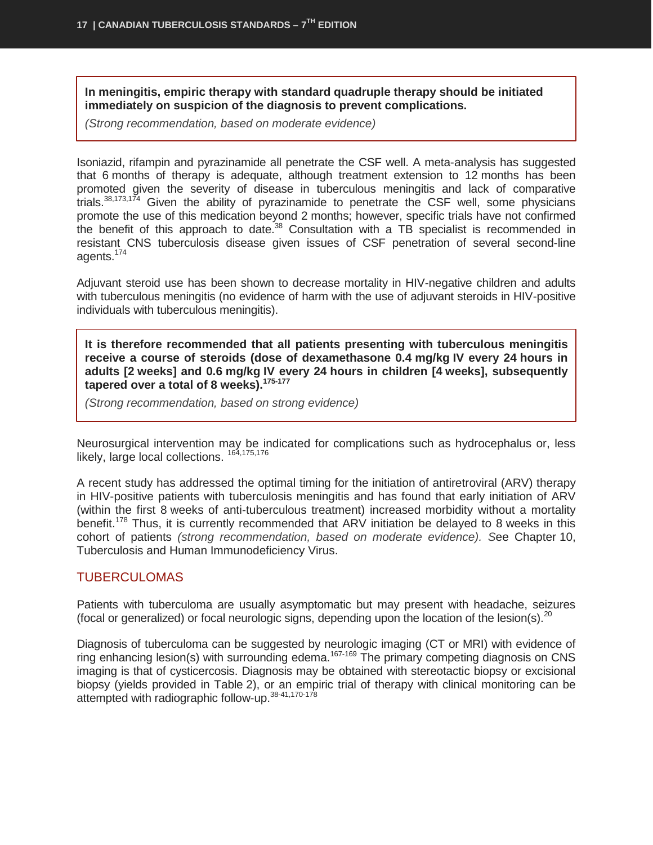**In meningitis, empiric therapy with standard quadruple therapy should be initiated immediately on suspicion of the diagnosis to prevent complications.**

*(Strong recommendation, based on moderate evidence)*

Isoniazid, rifampin and pyrazinamide all penetrate the CSF well. A meta-analysis has suggested that 6 months of therapy is adequate, although treatment extension to 12 months has been promoted given the severity of disease in tuberculous meningitis and lack of comparative trials. $38,173,174$  Given the ability of pyrazinamide to penetrate the CSF well, some physicians promote the use of this medication beyond 2 months; however, specific trials have not confirmed the benefit of this approach to date.<sup>38</sup> Consultation with a TB specialist is recommended in resistant CNS tuberculosis disease given issues of CSF penetration of several second-line agents.174

Adjuvant steroid use has been shown to decrease mortality in HIV-negative children and adults with tuberculous meningitis (no evidence of harm with the use of adjuvant steroids in HIV-positive individuals with tuberculous meningitis).

**It is therefore recommended that all patients presenting with tuberculous meningitis receive a course of steroids (dose of dexamethasone 0.4 mg/kg IV every 24 hours in adults [2 weeks] and 0.6 mg/kg IV every 24 hours in children [4 weeks], subsequently tapered over a total of 8 weeks).175-177**

*(Strong recommendation, based on strong evidence)*

Neurosurgical intervention may be indicated for complications such as hydrocephalus or, less likely, large local collections. <sup>164,175,176</sup>

A recent study has addressed the optimal timing for the initiation of antiretroviral (ARV) therapy in HIV-positive patients with tuberculosis meningitis and has found that early initiation of ARV (within the first 8 weeks of anti-tuberculous treatment) increased morbidity without a mortality benefit.<sup>178</sup> Thus, it is currently recommended that ARV initiation be delayed to 8 weeks in this cohort of patients *(strong recommendation, based on moderate evidence). S*ee Chapter 10, Tuberculosis and Human Immunodeficiency Virus.

# <span id="page-18-0"></span>TUBERCULOMAS

Patients with tuberculoma are usually asymptomatic but may present with headache, seizures (focal or generalized) or focal neurologic signs, depending upon the location of the lesion(s).<sup>20</sup>

Diagnosis of tuberculoma can be suggested by neurologic imaging (CT or MRI) with evidence of ring enhancing lesion(s) with surrounding edema.<sup>167-169</sup> The primary competing diagnosis on CNS imaging is that of cysticercosis. Diagnosis may be obtained with stereotactic biopsy or excisional biopsy (yields provided in Table 2), or an empiric trial of therapy with clinical monitoring can be attempted with radiographic follow-up. 38-41,170-178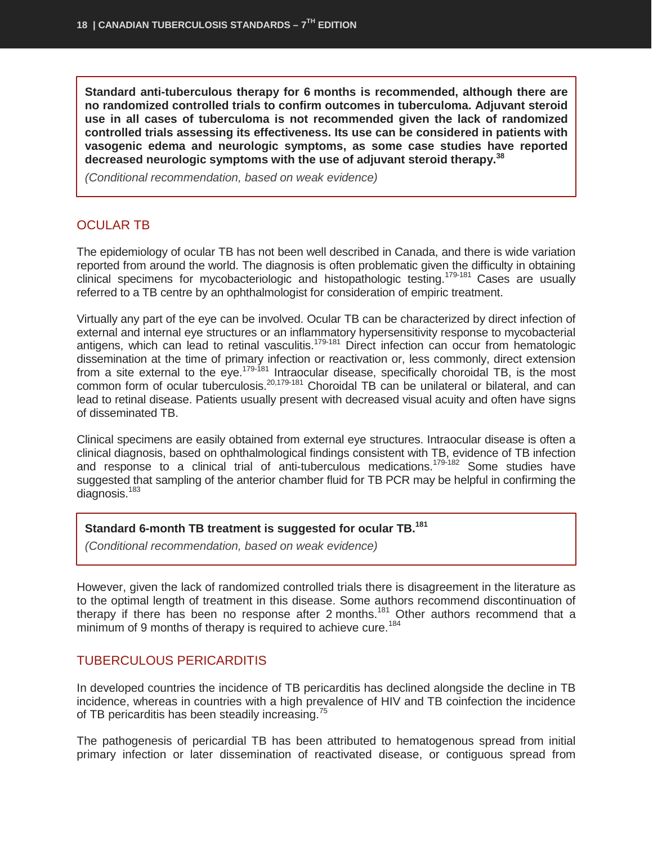**Standard anti-tuberculous therapy for 6 months is recommended, although there are no randomized controlled trials to confirm outcomes in tuberculoma. Adjuvant steroid use in all cases of tuberculoma is not recommended given the lack of randomized controlled trials assessing its effectiveness. Its use can be considered in patients with vasogenic edema and neurologic symptoms, as some case studies have reported decreased neurologic symptoms with the use of adjuvant steroid therapy.<sup>38</sup>**

*(Conditional recommendation, based on weak evidence)*

# <span id="page-19-0"></span>OCULAR TB

The epidemiology of ocular TB has not been well described in Canada, and there is wide variation reported from around the world. The diagnosis is often problematic given the difficulty in obtaining clinical specimens for mycobacteriologic and histopathologic testing.<sup>179-181</sup> Cases are usually referred to a TB centre by an ophthalmologist for consideration of empiric treatment.

Virtually any part of the eye can be involved. Ocular TB can be characterized by direct infection of external and internal eye structures or an inflammatory hypersensitivity response to mycobacterial antigens, which can lead to retinal vasculitis.179-181 Direct infection can occur from hematologic dissemination at the time of primary infection or reactivation or, less commonly, direct extension from a site external to the eye.<sup>179-181</sup> Intraocular disease, specifically choroidal TB, is the most common form of ocular tuberculosis.<sup>20,179-181</sup> Choroidal TB can be unilateral or bilateral, and can lead to retinal disease. Patients usually present with decreased visual acuity and often have signs of disseminated TB.

Clinical specimens are easily obtained from external eye structures. Intraocular disease is often a clinical diagnosis, based on ophthalmological findings consistent with TB, evidence of TB infection and response to a clinical trial of anti-tuberculous medications.<sup>179-182</sup> Some studies have suggested that sampling of the anterior chamber fluid for TB PCR may be helpful in confirming the diagnosis.<sup>183</sup>

#### **Standard 6-month TB treatment is suggested for ocular TB.<sup>181</sup>**

*(Conditional recommendation, based on weak evidence)*

However, given the lack of randomized controlled trials there is disagreement in the literature as to the optimal length of treatment in this disease. Some authors recommend discontinuation of therapy if there has been no response after 2 months.<sup>181</sup> Other authors recommend that a minimum of 9 months of therapy is required to achieve cure.<sup>184</sup>

## <span id="page-19-1"></span>TUBERCULOUS PERICARDITIS

In developed countries the incidence of TB pericarditis has declined alongside the decline in TB incidence, whereas in countries with a high prevalence of HIV and TB coinfection the incidence of TB pericarditis has been steadily increasing.<sup>75</sup>

The pathogenesis of pericardial TB has been attributed to hematogenous spread from initial primary infection or later dissemination of reactivated disease, or contiguous spread from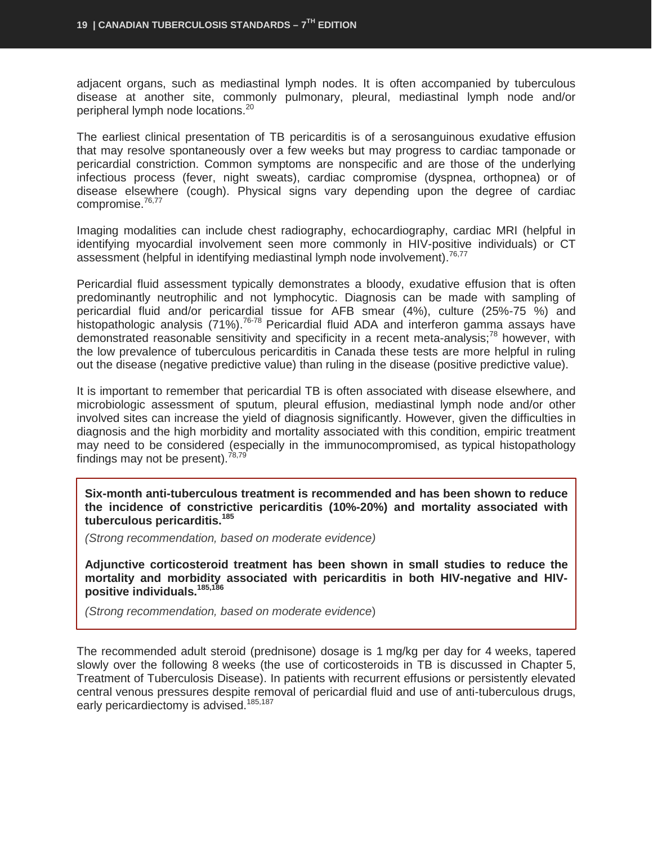adjacent organs, such as mediastinal lymph nodes. It is often accompanied by tuberculous disease at another site, commonly pulmonary, pleural, mediastinal lymph node and/or peripheral lymph node locations.<sup>20</sup>

The earliest clinical presentation of TB pericarditis is of a serosanguinous exudative effusion that may resolve spontaneously over a few weeks but may progress to cardiac tamponade or pericardial constriction. Common symptoms are nonspecific and are those of the underlying infectious process (fever, night sweats), cardiac compromise (dyspnea, orthopnea) or of disease elsewhere (cough). Physical signs vary depending upon the degree of cardiac compromise.<sup>76,77</sup>

Imaging modalities can include chest radiography, echocardiography, cardiac MRI (helpful in identifying myocardial involvement seen more commonly in HIV-positive individuals) or CT assessment (helpful in identifying mediastinal lymph node involvement).<sup>76,77</sup>

Pericardial fluid assessment typically demonstrates a bloody, exudative effusion that is often predominantly neutrophilic and not lymphocytic. Diagnosis can be made with sampling of pericardial fluid and/or pericardial tissue for AFB smear (4%), culture (25%-75 %) and histopathologic analysis  $(71\%)$ .<sup>76-78</sup> Pericardial fluid ADA and interferon gamma assays have demonstrated reasonable sensitivity and specificity in a recent meta-analysis;<sup>78</sup> however, with the low prevalence of tuberculous pericarditis in Canada these tests are more helpful in ruling out the disease (negative predictive value) than ruling in the disease (positive predictive value).

It is important to remember that pericardial TB is often associated with disease elsewhere, and microbiologic assessment of sputum, pleural effusion, mediastinal lymph node and/or other involved sites can increase the yield of diagnosis significantly. However, given the difficulties in diagnosis and the high morbidity and mortality associated with this condition, empiric treatment may need to be considered (especially in the immunocompromised, as typical histopathology findings may not be present).  $78,79$ 

**Six-month anti-tuberculous treatment is recommended and has been shown to reduce the incidence of constrictive pericarditis (10%-20%) and mortality associated with tuberculous pericarditis.<sup>185</sup>**

*(Strong recommendation, based on moderate evidence)*

**Adjunctive corticosteroid treatment has been shown in small studies to reduce the mortality and morbidity associated with pericarditis in both HIV-negative and HIVpositive individuals. 185,186**

*(Strong recommendation, based on moderate evidence*)

The recommended adult steroid (prednisone) dosage is 1 mg/kg per day for 4 weeks, tapered slowly over the following 8 weeks (the use of corticosteroids in TB is discussed in Chapter 5, Treatment of Tuberculosis Disease). In patients with recurrent effusions or persistently elevated central venous pressures despite removal of pericardial fluid and use of anti-tuberculous drugs, early pericardiectomy is advised.<sup>185,187</sup>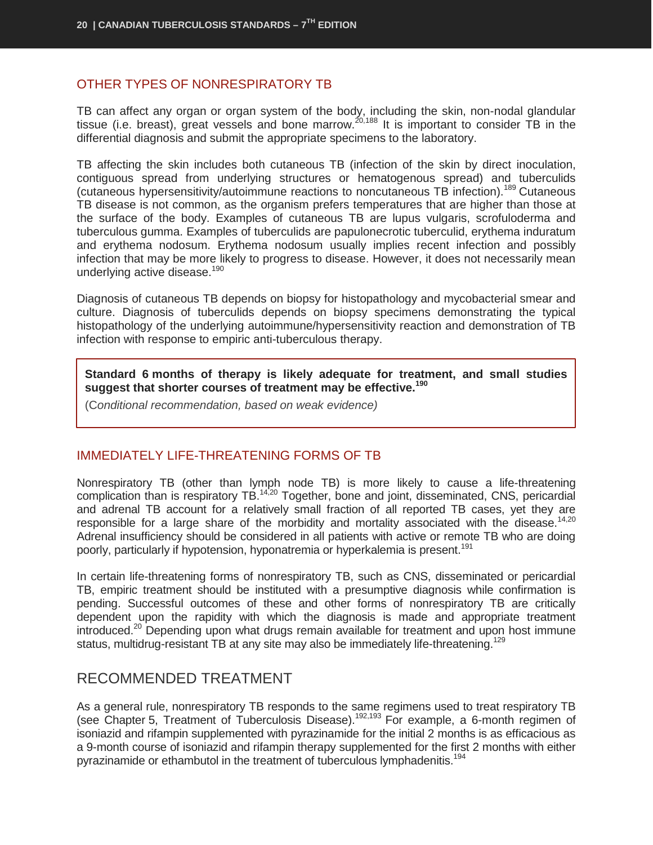#### <span id="page-21-0"></span>OTHER TYPES OF NONRESPIRATORY TB

TB can affect any organ or organ system of the body, including the skin, non-nodal glandular tissue (i.e. breast), great vessels and bone marrow.20,188 It is important to consider TB in the differential diagnosis and submit the appropriate specimens to the laboratory.

TB affecting the skin includes both cutaneous TB (infection of the skin by direct inoculation, contiguous spread from underlying structures or hematogenous spread) and tuberculids (cutaneous hypersensitivity/autoimmune reactions to noncutaneous TB infection).<sup>189</sup> Cutaneous TB disease is not common, as the organism prefers temperatures that are higher than those at the surface of the body. Examples of cutaneous TB are lupus vulgaris, scrofuloderma and tuberculous gumma. Examples of tuberculids are papulonecrotic tuberculid, erythema induratum and erythema nodosum. Erythema nodosum usually implies recent infection and possibly infection that may be more likely to progress to disease. However, it does not necessarily mean underlying active disease.<sup>190</sup>

Diagnosis of cutaneous TB depends on biopsy for histopathology and mycobacterial smear and culture. Diagnosis of tuberculids depends on biopsy specimens demonstrating the typical histopathology of the underlying autoimmune/hypersensitivity reaction and demonstration of TB infection with response to empiric anti-tuberculous therapy.

**Standard 6 months of therapy is likely adequate for treatment, and small studies suggest that shorter courses of treatment may be effective. 190**

(C*onditional recommendation, based on weak evidence)*

## <span id="page-21-1"></span>IMMEDIATELY LIFE-THREATENING FORMS OF TB

Nonrespiratory TB (other than lymph node TB) is more likely to cause a life-threatening complication than is respiratory TB.<sup>14,20</sup> Together, bone and joint, disseminated, CNS, pericardial and adrenal TB account for a relatively small fraction of all reported TB cases, yet they are responsible for a large share of the morbidity and mortality associated with the disease.<sup>14,20</sup> Adrenal insufficiency should be considered in all patients with active or remote TB who are doing poorly, particularly if hypotension, hyponatremia or hyperkalemia is present.<sup>191</sup>

In certain life-threatening forms of nonrespiratory TB, such as CNS, disseminated or pericardial TB, empiric treatment should be instituted with a presumptive diagnosis while confirmation is pending. Successful outcomes of these and other forms of nonrespiratory TB are critically dependent upon the rapidity with which the diagnosis is made and appropriate treatment introduced.<sup>20</sup> Depending upon what drugs remain available for treatment and upon host immune status, multidrug-resistant TB at any site may also be immediately life-threatening.<sup>129</sup>

# <span id="page-21-2"></span>RECOMMENDED TREATMENT

As a general rule, nonrespiratory TB responds to the same regimens used to treat respiratory TB (see Chapter 5, Treatment of Tuberculosis Disease).<sup>192,193</sup> For example, a 6-month regimen of isoniazid and rifampin supplemented with pyrazinamide for the initial 2 months is as efficacious as a 9-month course of isoniazid and rifampin therapy supplemented for the first 2 months with either pyrazinamide or ethambutol in the treatment of tuberculous lymphadenitis.<sup>194</sup>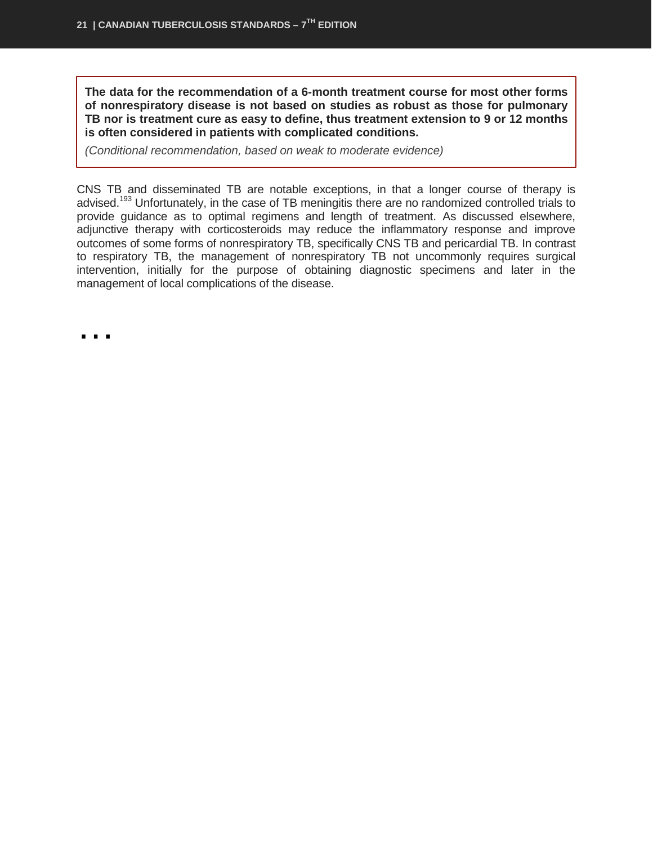**The data for the recommendation of a 6-month treatment course for most other forms of nonrespiratory disease is not based on studies as robust as those for pulmonary TB nor is treatment cure as easy to define, thus treatment extension to 9 or 12 months is often considered in patients with complicated conditions.**

*(Conditional recommendation, based on weak to moderate evidence)*

CNS TB and disseminated TB are notable exceptions, in that a longer course of therapy is advised.<sup>193</sup> Unfortunately, in the case of TB meningitis there are no randomized controlled trials to provide guidance as to optimal regimens and length of treatment. As discussed elsewhere, adjunctive therapy with corticosteroids may reduce the inflammatory response and improve outcomes of some forms of nonrespiratory TB, specifically CNS TB and pericardial TB. In contrast to respiratory TB, the management of nonrespiratory TB not uncommonly requires surgical intervention, initially for the purpose of obtaining diagnostic specimens and later in the management of local complications of the disease.

<span id="page-22-0"></span>…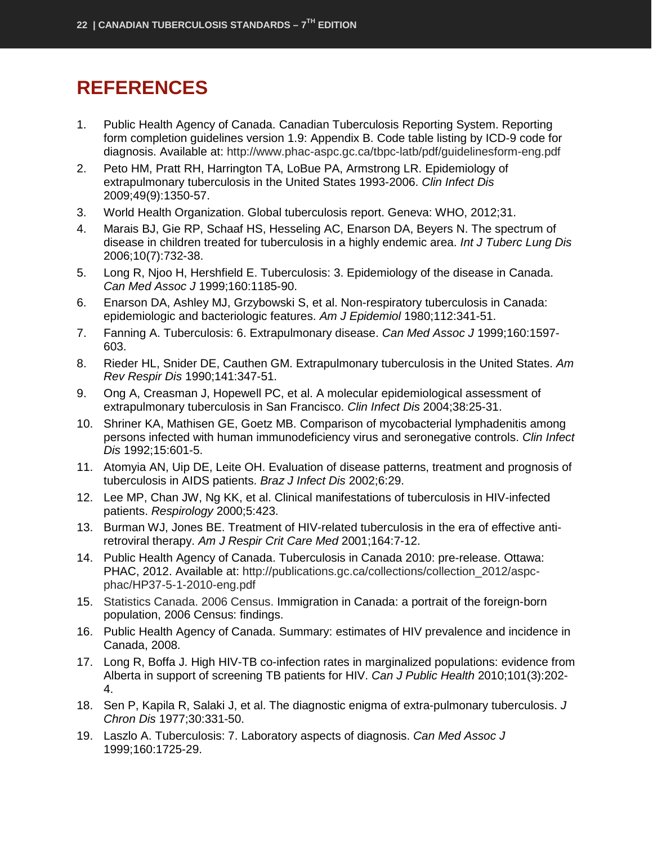# **REFERENCES**

- 1. Public Health Agency of Canada. Canadian Tuberculosis Reporting System. Reporting form completion guidelines version 1.9: Appendix B. Code table listing by ICD-9 code for diagnosis. Available at: [http://www.phac-aspc.gc.ca/tbpc-latb/pdf/guidelinesform-eng.pdf](http://mail.albertahealthservices.ca/owa/redir.aspx?C=e0bd21cfa99449feb1774bf9e466c6aa&URL=http%3a%2f%2fwww.phac-aspc.gc.ca%2ftbpc-latb%2fpdf%2fguidelinesform-eng.pdf)
- 2. Peto HM, Pratt RH, Harrington TA, LoBue PA, Armstrong LR. Epidemiology of extrapulmonary tuberculosis in the United States 1993-2006. *Clin Infect Dis* 2009;49(9):1350-57.
- 3. World Health Organization. Global tuberculosis report. Geneva: WHO, 2012;31.
- 4. Marais BJ, Gie RP, Schaaf HS, Hesseling AC, Enarson DA, Beyers N. The spectrum of disease in children treated for tuberculosis in a highly endemic area. *Int J Tuberc Lung Dis* 2006;10(7):732-38.
- 5. Long R, Njoo H, Hershfield E. Tuberculosis: 3. Epidemiology of the disease in Canada. *Can Med Assoc J* 1999;160:1185-90.
- 6. Enarson DA, Ashley MJ, Grzybowski S, et al. Non-respiratory tuberculosis in Canada: epidemiologic and bacteriologic features. *Am J Epidemiol* 1980;112:341-51.
- 7. Fanning A. Tuberculosis: 6. Extrapulmonary disease. *Can Med Assoc J* 1999;160:1597- 603.
- 8. Rieder HL, Snider DE, Cauthen GM. Extrapulmonary tuberculosis in the United States. *Am Rev Respir Dis* 1990;141:347-51.
- 9. Ong A, Creasman J, Hopewell PC, et al. A molecular epidemiological assessment of extrapulmonary tuberculosis in San Francisco. *Clin Infect Dis* 2004;38:25-31.
- 10. Shriner KA, Mathisen GE, Goetz MB. Comparison of mycobacterial lymphadenitis among persons infected with human immunodeficiency virus and seronegative controls. *Clin Infect Dis* 1992;15:601-5.
- 11. Atomyia AN, Uip DE, Leite OH. Evaluation of disease patterns, treatment and prognosis of tuberculosis in AIDS patients. *Braz J Infect Dis* 2002;6:29.
- 12. Lee MP, Chan JW, Ng KK, et al. Clinical manifestations of tuberculosis in HIV-infected patients. *Respirology* 2000;5:423.
- 13. Burman WJ, Jones BE. Treatment of HIV-related tuberculosis in the era of effective antiretroviral therapy. *Am J Respir Crit Care Med* 2001;164:7-12.
- 14. Public Health Agency of Canada. Tuberculosis in Canada 2010: pre-release. Ottawa: PHAC, 2012. Available at: [http://publications.gc.ca/collections/collection\\_2012/aspc](http://mail.albertahealthservices.ca/owa/redir.aspx?C=e0bd21cfa99449feb1774bf9e466c6aa&URL=http%3a%2f%2fpublications.gc.ca%2fcollections%2fcollection_2012%2faspc-phac%2fHP37-5-1-2010-eng.pdf)[phac/HP37-5-1-2010-eng.pdf](http://mail.albertahealthservices.ca/owa/redir.aspx?C=e0bd21cfa99449feb1774bf9e466c6aa&URL=http%3a%2f%2fpublications.gc.ca%2fcollections%2fcollection_2012%2faspc-phac%2fHP37-5-1-2010-eng.pdf)
- 15. Statistics Canada. 2006 Census. Immigration in Canada: a portrait of the foreign-born population, 2006 Census: findings.
- 16. Public Health Agency of Canada. Summary: estimates of HIV prevalence and incidence in Canada, 2008.
- 17. Long R, Boffa J. High HIV-TB co-infection rates in marginalized populations: evidence from Alberta in support of screening TB patients for HIV. *Can J Public Health* 2010;101(3):202- 4.
- 18. Sen P, Kapila R, Salaki J, et al. The diagnostic enigma of extra-pulmonary tuberculosis. *J Chron Dis* 1977;30:331-50.
- 19. Laszlo A. Tuberculosis: 7. Laboratory aspects of diagnosis. *Can Med Assoc J*  1999;160:1725-29.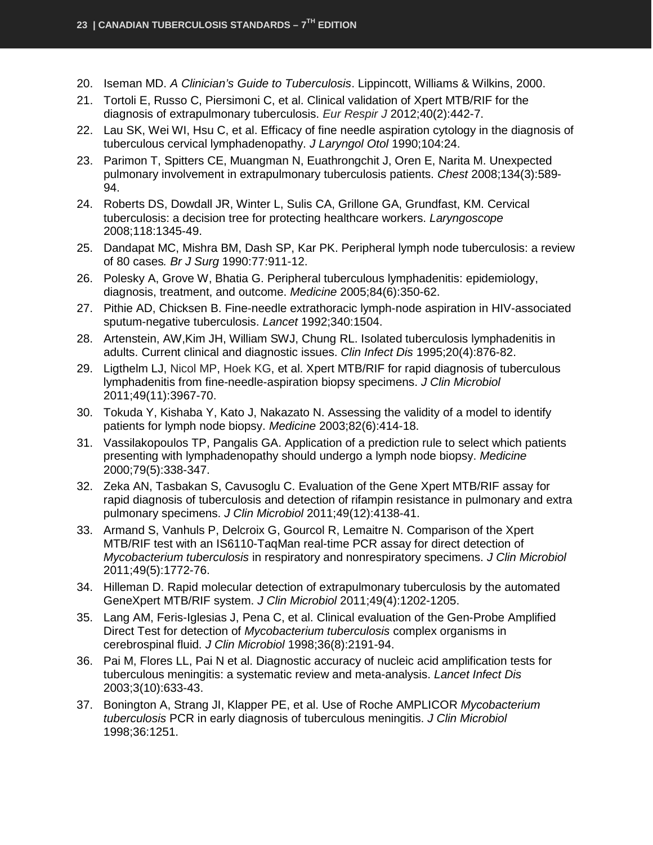- 20. Iseman MD. *A Clinician's Guide to Tuberculosis*. Lippincott, Williams & Wilkins, 2000.
- 21. Tortoli E, Russo C, Piersimoni C, et al. [Clinical validation of Xpert](http://www.ncbi.nlm.nih.gov/pubmed/22241741) MTB/RIF for the [diagnosis of extrapulmonary tuberculosis.](http://www.ncbi.nlm.nih.gov/pubmed/22241741) *Eur Respir J* 2012;40(2):442-7.
- 22. Lau SK, Wei WI, Hsu C, et al. Efficacy of fine needle aspiration cytology in the diagnosis of tuberculous cervical lymphadenopathy. *J Laryngol Otol* 1990;104:24.
- 23. Parimon T, Spitters CE, Muangman N, Euathrongchit J, Oren E, Narita M. Unexpected pulmonary involvement in extrapulmonary tuberculosis patients. *Chest* 2008;134(3):589- 94.
- 24. Roberts DS, Dowdall JR, Winter L, Sulis CA, Grillone GA, Grundfast, KM. Cervical tuberculosis: a decision tree for protecting healthcare workers. *Laryngoscope*  2008;118:1345-49.
- 25. Dandapat MC, Mishra BM, Dash SP, Kar PK. Peripheral lymph node tuberculosis: a review of 80 cases*. Br J Surg* 1990:77:911-12.
- 26. Polesky A, Grove W, Bhatia G. Peripheral tuberculous lymphadenitis: epidemiology, diagnosis, treatment, and outcome. *Medicine* 2005;84(6):350-62.
- 27. Pithie AD, Chicksen B. Fine-needle extrathoracic lymph-node aspiration in HIV-associated sputum-negative tuberculosis. *Lancet* 1992;340:1504.
- 28. Artenstein, AW,Kim JH, William SWJ, Chung RL. Isolated tuberculosis lymphadenitis in adults. Current clinical and diagnostic issues. *Clin Infect Dis* 1995;20(4):876-82.
- 29. Ligthelm LJ, [Nicol MP,](http://www.ncbi.nlm.nih.gov/pubmed?term=Nicol%20MP%5BAuthor%5D&cauthor=true&cauthor_uid=21880965) [Hoek KG,](http://www.ncbi.nlm.nih.gov/pubmed?term=Hoek%20KG%5BAuthor%5D&cauthor=true&cauthor_uid=21880965) et al. Xpert MTB/RIF for rapid diagnosis of tuberculous lymphadenitis from fine-needle-aspiration biopsy specimens. *J Clin Microbiol* 2011;49(11):3967-70.
- 30. Tokuda Y, Kishaba Y, Kato J, Nakazato N. Assessing the validity of a model to identify patients for lymph node biopsy. *Medicine* 2003;82(6):414-18.
- 31. Vassilakopoulos TP, Pangalis GA. Application of a prediction rule to select which patients presenting with lymphadenopathy should undergo a lymph node biopsy. *Medicine* 2000;79(5):338-347.
- 32. Zeka AN, Tasbakan S, Cavusoglu C. Evaluation of the Gene Xpert MTB/RIF assay for rapid diagnosis of tuberculosis and detection of rifampin resistance in pulmonary and extra pulmonary specimens. *J Clin Microbiol* 2011;49(12):4138-41.
- 33. Armand S, Vanhuls P, Delcroix G, Gourcol R, Lemaitre N. Comparison of the Xpert MTB/RIF test with an IS6110-TaqMan real-time PCR assay for direct detection of *Mycobacterium tuberculosis* in respiratory and nonrespiratory specimens. *J Clin Microbiol* 2011;49(5):1772-76.
- 34. Hilleman D. Rapid molecular detection of extrapulmonary tuberculosis by the automated GeneXpert MTB/RIF system. *J Clin Microbiol* 2011;49(4):1202-1205.
- 35. Lang AM, Feris-Iglesias J, Pena C, et al. Clinical evaluation of the Gen-Probe Amplified Direct Test for detection of *Mycobacterium tuberculosis* complex organisms in cerebrospinal fluid. *J Clin Microbiol* 1998;36(8):2191-94.
- 36. Pai M, Flores LL, Pai N et al. Diagnostic accuracy of nucleic acid amplification tests for tuberculous meningitis: a systematic review and meta-analysis. *Lancet Infect Dis* 2003;3(10):633-43.
- 37. Bonington A, Strang JI, Klapper PE, et al. Use of Roche AMPLICOR *Mycobacterium tuberculosis* PCR in early diagnosis of tuberculous meningitis. *J Clin Microbiol* 1998;36:1251.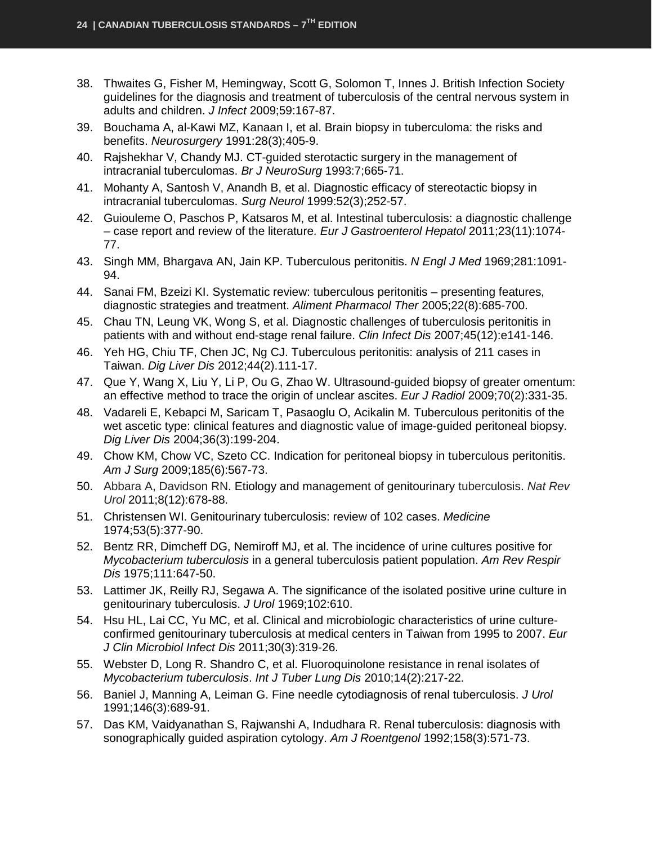- 38. Thwaites G, Fisher M, Hemingway, Scott G, Solomon T, Innes J. British Infection Society guidelines for the diagnosis and treatment of tuberculosis of the central nervous system in adults and children. *J Infect* 2009;59:167-87.
- 39. Bouchama A, al-Kawi MZ, Kanaan I, et al. Brain biopsy in tuberculoma: the risks and benefits. *Neurosurgery* 1991:28(3);405-9.
- 40. Rajshekhar V, Chandy MJ. CT-guided sterotactic surgery in the management of intracranial tuberculomas. *Br J NeuroSurg* 1993:7;665-71.
- 41. Mohanty A, Santosh V, Anandh B, et al. Diagnostic efficacy of stereotactic biopsy in intracranial tuberculomas. *Surg Neurol* 1999:52(3);252-57.
- 42. Guiouleme O, Paschos P, Katsaros M, et al. Intestinal tuberculosis: a diagnostic challenge – case report and review of the literature. *Eur J Gastroenterol Hepatol* 2011;23(11):1074- 77.
- 43. Singh MM, Bhargava AN, Jain KP. Tuberculous peritonitis. *N Engl J Med* 1969;281:1091- 94.
- 44. Sanai FM, Bzeizi KI. Systematic review: tuberculous peritonitis presenting features, diagnostic strategies and treatment. *Aliment Pharmacol Ther* 2005;22(8):685-700.
- 45. Chau TN, Leung VK, Wong S, et al. Diagnostic challenges of tuberculosis peritonitis in patients with and without end-stage renal failure. *Clin Infect Dis* 2007;45(12):e141-146.
- 46. Yeh HG, Chiu TF, Chen JC, Ng CJ. Tuberculous peritonitis: analysis of 211 cases in Taiwan. *Dig Liver Dis* 2012;44(2).111-17.
- 47. Que Y, Wang X, Liu Y, Li P, Ou G, Zhao W. Ultrasound-guided biopsy of greater omentum: an effective method to trace the origin of unclear ascites. *Eur J Radiol* 2009;70(2):331-35.
- 48. Vadareli E, Kebapci M, Saricam T, Pasaoglu O, Acikalin M. Tuberculous peritonitis of the wet ascetic type: clinical features and diagnostic value of image-guided peritoneal biopsy. *Dig Liver Dis* 2004;36(3):199-204.
- 49. Chow KM, Chow VC, Szeto CC. Indication for peritoneal biopsy in tuberculous peritonitis. *Am J Surg* 2009;185(6):567-73.
- 50. [Abbara](http://www.ncbi.nlm.nih.gov/pubmed?term=Abbara%20A%5BAuthor%5D&cauthor=true&cauthor_uid=22157940) A, [Davidson RN.](http://www.ncbi.nlm.nih.gov/pubmed?term=Davidson%20RN%5BAuthor%5D&cauthor=true&cauthor_uid=22157940) Etiology and management of genitourinary tuberculosis. *[Nat Rev](http://www.ncbi.nlm.nih.gov/pubmed?term=Abbara%20and%20tuberculosis)  [Urol](http://www.ncbi.nlm.nih.gov/pubmed?term=Abbara%20and%20tuberculosis)* 2011;8(12):678-88.
- 51. Christensen WI. Genitourinary tuberculosis: review of 102 cases. *Medicine* 1974;53(5):377-90.
- 52. Bentz RR, Dimcheff DG, Nemiroff MJ, et al. The incidence of urine cultures positive for *Mycobacterium tuberculosis* in a general tuberculosis patient population. *Am Rev Respir Dis* 1975;111:647-50.
- 53. Lattimer JK, Reilly RJ, Segawa A. The significance of the isolated positive urine culture in genitourinary tuberculosis. *J Urol* 1969;102:610.
- 54. Hsu HL, Lai CC, Yu MC, et al. Clinical and microbiologic characteristics of urine cultureconfirmed genitourinary tuberculosis at medical centers in Taiwan from 1995 to 2007. *Eur J Clin Microbiol Infect Dis* 2011;30(3):319-26.
- 55. Webster D, Long R. Shandro C, et al. Fluoroquinolone resistance in renal isolates of *Mycobacterium tuberculosis*. *Int J Tuber Lung Dis* 2010;14(2):217-22.
- 56. Baniel J, Manning A, Leiman G. Fine needle cytodiagnosis of renal tuberculosis. *J Urol* 1991;146(3):689-91.
- 57. Das KM, Vaidyanathan S, Rajwanshi A, Indudhara R. Renal tuberculosis: diagnosis with sonographically guided aspiration cytology. *Am J Roentgenol* 1992;158(3):571-73.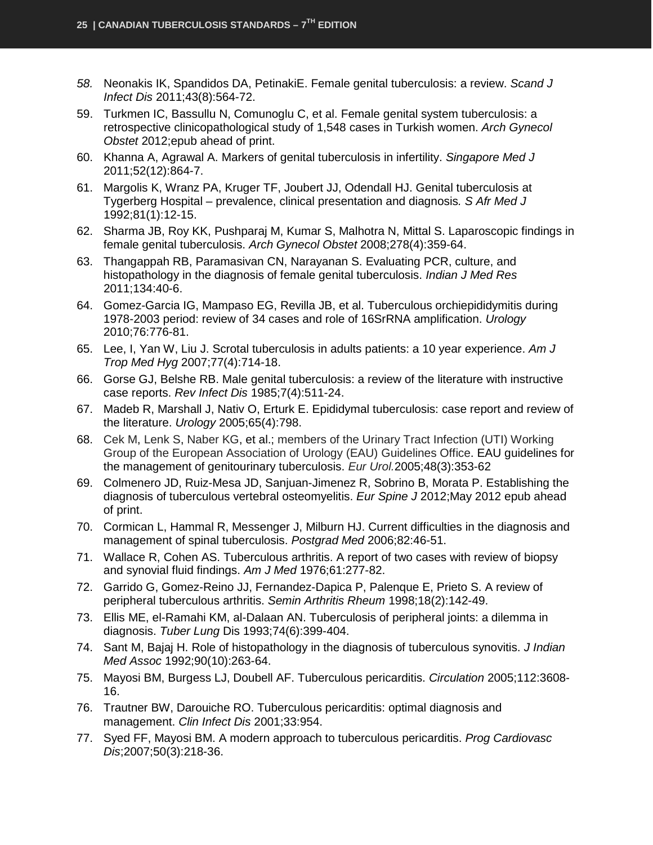- *58.* Neonakis IK, Spandidos DA, PetinakiE. Female genital tuberculosis: a review. *Scand J Infect Dis* 2011;43(8):564-72.
- 59. Turkmen IC, Bassullu N, Comunoglu C, et al. Female genital system tuberculosis: a retrospective clinicopathological study of 1,548 cases in Turkish women. *Arch Gynecol Obstet* 2012;epub ahead of print.
- 60. Khanna A, Agrawal A. Markers of genital tuberculosis in infertility. *Singapore Med J* 2011;52(12):864-7.
- 61. Margolis K, Wranz PA, Kruger TF, Joubert JJ, Odendall HJ. Genital tuberculosis at Tygerberg Hospital – prevalence, clinical presentation and diagnosis*. S Afr Med J* 1992;81(1):12-15.
- 62. Sharma JB, Roy KK, Pushparaj M, Kumar S, Malhotra N, Mittal S. Laparoscopic findings in female genital tuberculosis. *Arch Gynecol Obstet* 2008;278(4):359-64.
- 63. Thangappah RB, Paramasivan CN, Narayanan S. Evaluating PCR, culture, and histopathology in the diagnosis of female genital tuberculosis. *Indian J Med Res* 2011;134:40-6.
- 64. Gomez-Garcia IG, Mampaso EG, Revilla JB, et al. Tuberculous orchiepididymitis during 1978-2003 period: review of 34 cases and role of 16SrRNA amplification. *Urology* 2010;76:776-81.
- 65. Lee, I, Yan W, Liu J. Scrotal tuberculosis in adults patients: a 10 year experience. *Am J Trop Med Hyg* 2007;77(4):714-18.
- 66. Gorse GJ, Belshe RB. Male genital tuberculosis: a review of the literature with instructive case reports. *Rev Infect Dis* 1985;7(4):511-24.
- 67. Madeb R, Marshall J, Nativ O, Erturk E. Epididymal tuberculosis: case report and review of the literature. *Urology* 2005;65(4):798.
- 68. [Cek M,](http://www.ncbi.nlm.nih.gov/pubmed?term=Cek%20M%5BAuthor%5D&cauthor=true&cauthor_uid=15982799) [Lenk S,](http://www.ncbi.nlm.nih.gov/pubmed?term=Lenk%20S%5BAuthor%5D&cauthor=true&cauthor_uid=15982799) [Naber KG,](http://www.ncbi.nlm.nih.gov/pubmed?term=Naber%20KG%5BAuthor%5D&cauthor=true&cauthor_uid=15982799) et al.; [members of the Urinary Tract Infection \(UTI\) Working](http://www.ncbi.nlm.nih.gov/pubmed?term=Members%20of%20the%20Urinary%20Tract%20Infection%20(UTI)%20Working%20Group%20of%20the%20European%20Association%20of%20Urology%20(EAU)%20Guidelines%20Office%5BCorporate%20Author%5D)  [Group of the European Association of Urology \(EAU\) Guidelines Office.](http://www.ncbi.nlm.nih.gov/pubmed?term=Members%20of%20the%20Urinary%20Tract%20Infection%20(UTI)%20Working%20Group%20of%20the%20European%20Association%20of%20Urology%20(EAU)%20Guidelines%20Office%5BCorporate%20Author%5D) EAU guidelines for the management of genitourinary tuberculosis. *[Eur Urol.](http://www.ncbi.nlm.nih.gov/pubmed/15982799)*2005;48(3):353-62
- 69. Colmenero JD, Ruiz-Mesa JD, Sanjuan-Jimenez R, Sobrino B, Morata P. Establishing the diagnosis of tuberculous vertebral osteomyelitis. *Eur Spine J* 2012;May 2012 epub ahead of print.
- 70. Cormican L, Hammal R, Messenger J, Milburn HJ. Current difficulties in the diagnosis and management of spinal tuberculosis. *Postgrad Med* 2006;82:46-51.
- 71. Wallace R, Cohen AS. Tuberculous arthritis. A report of two cases with review of biopsy and synovial fluid findings. *Am J Med* 1976;61:277-82.
- 72. Garrido G, Gomez-Reino JJ, Fernandez-Dapica P, Palenque E, Prieto S. A review of peripheral tuberculous arthritis. *Semin Arthritis Rheum* 1998;18(2):142-49.
- 73. Ellis ME, el-Ramahi KM, al-Dalaan AN. Tuberculosis of peripheral joints: a dilemma in diagnosis. *Tuber Lung* Dis 1993;74(6):399-404.
- 74. Sant M, Bajaj H. Role of histopathology in the diagnosis of tuberculous synovitis. *J Indian Med Assoc* 1992;90(10):263-64.
- 75. Mayosi BM, Burgess LJ, Doubell AF. Tuberculous pericarditis. *Circulation* 2005;112:3608- 16.
- 76. Trautner BW, Darouiche RO. Tuberculous pericarditis: optimal diagnosis and management. *Clin Infect Dis* 2001;33:954.
- 77. Syed FF, Mayosi BM. A modern approach to tuberculous pericarditis. *Prog Cardiovasc Dis*;2007;50(3):218-36.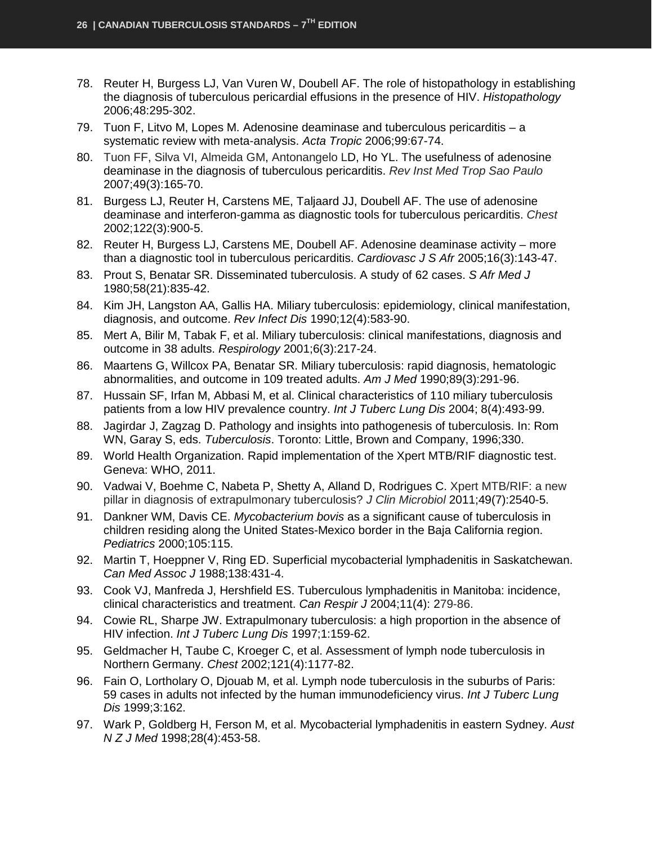- 78. Reuter H, Burgess LJ, Van Vuren W, Doubell AF. The role of histopathology in establishing the diagnosis of tuberculous pericardial effusions in the presence of HIV. *Histopathology* 2006;48:295-302.
- 79. Tuon F, Litvo M, Lopes M. Adenosine deaminase and tuberculous pericarditis a systematic review with meta-analysis. *Acta Tropic* 2006;99:67-74.
- 80. [Tuon FF,](http://www.ncbi.nlm.nih.gov/pubmed?term=Tuon%20FF%5BAuthor%5D&cauthor=true&cauthor_uid=17625694) [Silva VI,](http://www.ncbi.nlm.nih.gov/pubmed?term=Silva%20VI%5BAuthor%5D&cauthor=true&cauthor_uid=17625694) [Almeida GM,](http://www.ncbi.nlm.nih.gov/pubmed?term=Almeida%20GM%5BAuthor%5D&cauthor=true&cauthor_uid=17625694) [Antonangelo](http://www.ncbi.nlm.nih.gov/pubmed?term=Antonangelo%20L%5BAuthor%5D&cauthor=true&cauthor_uid=17625694) LD, Ho YL. The usefulness of adenosine deaminase in the diagnosis of tuberculous pericarditis. *[Rev Inst Med Trop Sao Paulo](http://www.ncbi.nlm.nih.gov/pubmed/17625694)* 2007;49(3):165-70.
- 81. Burgess LJ, Reuter H, Carstens ME, Taljaard JJ, Doubell AF. The use of adenosine deaminase and interferon-gamma as diagnostic tools for tuberculous pericarditis. *[Chest](http://www.ncbi.nlm.nih.gov/pubmed/12226030)* 2002;122(3):900-5.
- 82. Reuter H, Burgess LJ, Carstens ME, Doubell AF. Adenosine deaminase activity more than a diagnostic tool in tuberculous pericarditis. *Cardiovasc J S Afr* 2005;16(3):143-47.
- 83. Prout S, Benatar SR. Disseminated tuberculosis. A study of 62 cases. *S Afr Med J* 1980;58(21):835-42.
- 84. Kim JH, Langston AA, Gallis HA. Miliary tuberculosis: epidemiology, clinical manifestation, diagnosis, and outcome. *Rev Infect Dis* 1990;12(4):583-90.
- 85. Mert A, Bilir M, Tabak F, et al. Miliary tuberculosis: clinical manifestations, diagnosis and outcome in 38 adults. *Respirology* 2001;6(3):217-24.
- 86. Maartens G, Willcox PA, Benatar SR. Miliary tuberculosis: rapid diagnosis, hematologic abnormalities, and outcome in 109 treated adults. *Am J Med* 1990;89(3):291-96.
- 87. Hussain SF, Irfan M, Abbasi M, et al. Clinical characteristics of 110 miliary tuberculosis patients from a low HIV prevalence country. *Int J Tuberc Lung Dis* 2004; 8(4):493-99.
- 88. Jagirdar J, Zagzag D. Pathology and insights into pathogenesis of tuberculosis. In: Rom WN, Garay S, eds. *Tuberculosis*. Toronto: Little, Brown and Company, 1996;330.
- 89. World Health Organization. Rapid implementation of the Xpert MTB/RIF diagnostic test. Geneva: WHO, 2011.
- 90. Vadwai V, Boehme C, Nabeta P, Shetty A, Alland D, Rodrigues C. Xpert [MTB/RIF: a new](http://www.ncbi.nlm.nih.gov/pubmed/21593262)  [pillar in diagnosis of extrapulmonary tuberculosis?](http://www.ncbi.nlm.nih.gov/pubmed/21593262) *J Clin Microbiol* 2011;49(7):2540-5.
- 91. Dankner WM, Davis CE. *Mycobacterium bovis* as a significant cause of tuberculosis in children residing along the United States-Mexico border in the Baja California region. *Pediatrics* 2000;105:115.
- 92. Martin T, Hoeppner V, Ring ED. Superficial mycobacterial lymphadenitis in Saskatchewan. *Can Med Assoc J* 1988;138:431-4.
- 93. Cook VJ, Manfreda J, Hershfield ES. Tuberculous lymphadenitis in Manitoba: incidence, clinical characteristics and treatment. *Can Respir J* 2004;11(4): 279-86.
- 94. Cowie RL, Sharpe JW. Extrapulmonary tuberculosis: a high proportion in the absence of HIV infection. *Int J Tuberc Lung Dis* 1997;1:159-62.
- 95. Geldmacher H, Taube C, Kroeger C, et al. Assessment of lymph node tuberculosis in Northern Germany. *Chest* 2002;121(4):1177-82.
- 96. Fain O, Lortholary O, Djouab M, et al. Lymph node tuberculosis in the suburbs of Paris: 59 cases in adults not infected by the human immunodeficiency virus. *Int J Tuberc Lung Dis* 1999;3:162.
- 97. Wark P, Goldberg H, Ferson M, et al. Mycobacterial lymphadenitis in eastern Sydney. *Aust N Z J Med* 1998;28(4):453-58.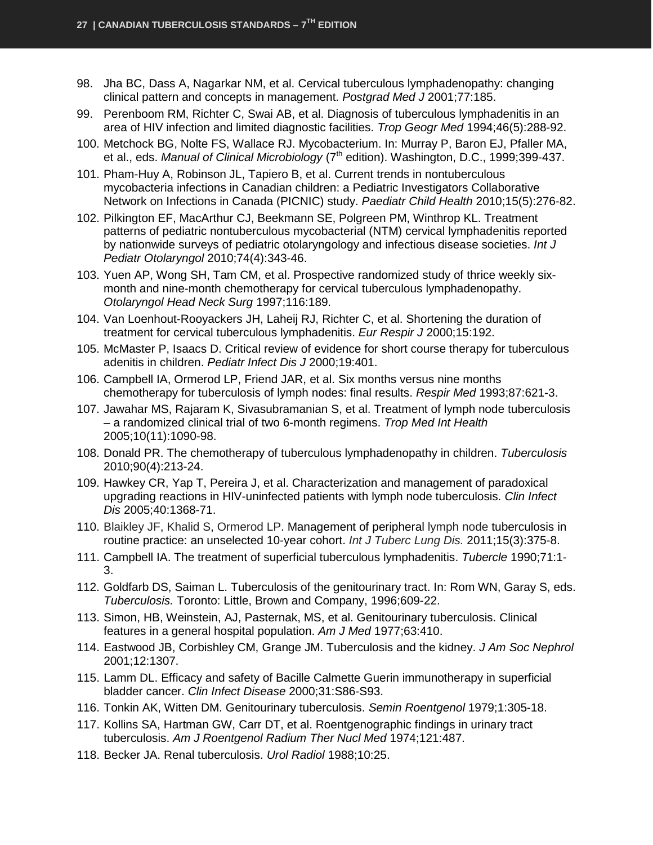- 98. Jha BC, Dass A, Nagarkar NM, et al. Cervical tuberculous lymphadenopathy: changing clinical pattern and concepts in management. *Postgrad Med J* 2001;77:185.
- 99. Perenboom RM, Richter C, Swai AB, et al. Diagnosis of tuberculous lymphadenitis in an area of HIV infection and limited diagnostic facilities. *Trop Geogr Med* 1994;46(5):288-92.
- 100. Metchock BG, Nolte FS, Wallace RJ. Mycobacterium. In: Murray P, Baron EJ, Pfaller MA, et al., eds. Manual of Clinical Microbiology (7<sup>th</sup> edition). Washington, D.C., 1999;399-437.
- 101. Pham-Huy A, Robinson JL, Tapiero B, et al. Current trends in nontuberculous mycobacteria infections in Canadian children: a Pediatric Investigators Collaborative Network on Infections in Canada (PICNIC) study. *Paediatr Child Health* 2010;15(5):276-82.
- 102. Pilkington EF, MacArthur CJ, Beekmann SE, Polgreen PM, Winthrop KL. Treatment patterns of pediatric nontuberculous mycobacterial (NTM) cervical lymphadenitis reported by nationwide surveys of pediatric otolaryngology and infectious disease societies. *Int J Pediatr Otolaryngol* 2010;74(4):343-46.
- 103. Yuen AP, Wong SH, Tam CM, et al. Prospective randomized study of thrice weekly sixmonth and nine-month chemotherapy for cervical tuberculous lymphadenopathy. *Otolaryngol Head Neck Surg* 1997;116:189.
- 104. Van Loenhout-Rooyackers JH, Laheij RJ, Richter C, et al. Shortening the duration of treatment for cervical tuberculous lymphadenitis. *Eur Respir J* 2000;15:192.
- 105. McMaster P, Isaacs D. Critical review of evidence for short course therapy for tuberculous adenitis in children. *Pediatr Infect Dis J* 2000;19:401.
- 106. Campbell IA, Ormerod LP, Friend JAR, et al. Six months versus nine months chemotherapy for tuberculosis of lymph nodes: final results. *Respir Med* 1993;87:621-3.
- 107. Jawahar MS, Rajaram K, Sivasubramanian S, et al. Treatment of lymph node tuberculosis – a randomized clinical trial of two 6-month regimens. *Trop Med Int Health* 2005;10(11):1090-98.
- 108. Donald PR. The chemotherapy of tuberculous lymphadenopathy in children. *Tuberculosis*  2010;90(4):213-24.
- 109. Hawkey CR, Yap T, Pereira J, et al. Characterization and management of paradoxical upgrading reactions in HIV-uninfected patients with lymph node tuberculosis. *Clin Infect Dis* 2005;40:1368-71.
- 110. [Blaikley](http://www.ncbi.nlm.nih.gov/pubmed?term=Blaikley%20JF%5BAuthor%5D&cauthor=true&cauthor_uid=21333106) JF, [Khalid S,](http://www.ncbi.nlm.nih.gov/pubmed?term=Khalid%20S%5BAuthor%5D&cauthor=true&cauthor_uid=21333106) [Ormerod LP.](http://www.ncbi.nlm.nih.gov/pubmed?term=Ormerod%20LP%5BAuthor%5D&cauthor=true&cauthor_uid=21333106) Management of peripheral lymph node tuberculosis in routine practice: an unselected 10-year cohort. *[Int J Tuberc Lung Dis.](http://www.ncbi.nlm.nih.gov/pubmed?term=Blaikley%20and%20lymph%20node)* 2011;15(3):375-8.
- 111. Campbell IA. The treatment of superficial tuberculous lymphadenitis. *Tubercle* 1990;71:1- 3.
- 112. Goldfarb DS, Saiman L. Tuberculosis of the genitourinary tract. In: Rom WN, Garay S, eds. *Tuberculosis.* Toronto: Little, Brown and Company, 1996;609-22.
- 113. Simon, HB, Weinstein, AJ, Pasternak, MS, et al. Genitourinary tuberculosis. Clinical features in a general hospital population. *Am J Med* 1977;63:410.
- 114. Eastwood JB, Corbishley CM, Grange JM. Tuberculosis and the kidney. *J Am Soc Nephrol* 2001;12:1307.
- 115. Lamm DL. Efficacy and safety of Bacille Calmette Guerin immunotherapy in superficial bladder cancer. *Clin Infect Disease* 2000;31:S86-S93.
- 116. Tonkin AK, Witten DM. Genitourinary tuberculosis. *Semin Roentgenol* 1979;1:305-18.
- 117. Kollins SA, Hartman GW, Carr DT, et al. Roentgenographic findings in urinary tract tuberculosis. *Am J Roentgenol Radium Ther Nucl Med* 1974;121:487.
- 118. Becker JA. Renal tuberculosis. *Urol Radiol* 1988;10:25.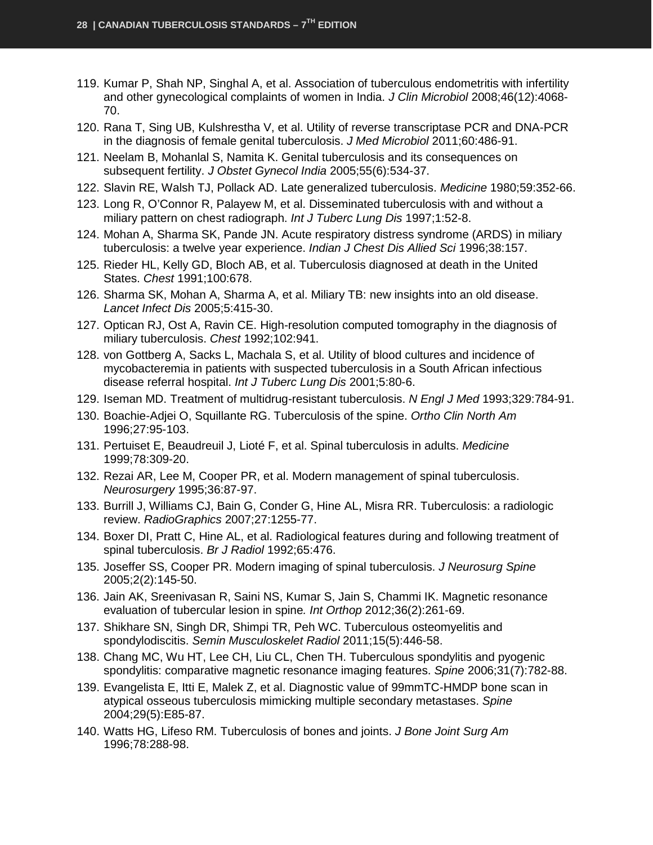- 119. Kumar P, Shah NP, Singhal A, et al. Association of tuberculous endometritis with infertility and other gynecological complaints of women in India. *J Clin Microbiol* 2008;46(12):4068- 70.
- 120. Rana T, Sing UB, Kulshrestha V, et al. Utility of reverse transcriptase PCR and DNA-PCR in the diagnosis of female genital tuberculosis. *J Med Microbiol* 2011;60:486-91.
- 121. Neelam B, Mohanlal S, Namita K. Genital tuberculosis and its consequences on subsequent fertility. *J Obstet Gynecol India* 2005;55(6):534-37.
- 122. Slavin RE, Walsh TJ, Pollack AD. Late generalized tuberculosis. *Medicine* 1980;59:352-66.
- 123. Long R, O'Connor R, Palayew M, et al. Disseminated tuberculosis with and without a miliary pattern on chest radiograph. *Int J Tuberc Lung Dis* 1997;1:52-8.
- 124. Mohan A, Sharma SK, Pande JN. Acute respiratory distress syndrome (ARDS) in miliary tuberculosis: a twelve year experience. *Indian J Chest Dis Allied Sci* 1996;38:157.
- 125. Rieder HL, Kelly GD, Bloch AB, et al. Tuberculosis diagnosed at death in the United States. *Chest* 1991;100:678.
- 126. Sharma SK, Mohan A, Sharma A, et al. Miliary TB: new insights into an old disease. *Lancet Infect Dis* 2005;5:415-30.
- 127. Optican RJ, Ost A, Ravin CE. High-resolution computed tomography in the diagnosis of miliary tuberculosis. *Chest* 1992;102:941.
- 128. von Gottberg A, Sacks L, Machala S, et al. Utility of blood cultures and incidence of mycobacteremia in patients with suspected tuberculosis in a South African infectious disease referral hospital. *Int J Tuberc Lung Dis* 2001;5:80-6.
- 129. Iseman MD. Treatment of multidrug-resistant tuberculosis. *N Engl J Med* 1993;329:784-91.
- 130. Boachie-Adjei O, Squillante RG. Tuberculosis of the spine. *Ortho Clin North Am* 1996;27:95-103.
- 131. Pertuiset E, Beaudreuil J, Lioté F, et al. Spinal tuberculosis in adults. *Medicine* 1999;78:309-20.
- 132. Rezai AR, Lee M, Cooper PR, et al. Modern management of spinal tuberculosis. *Neurosurgery* 1995;36:87-97.
- 133. Burrill J, Williams CJ, Bain G, Conder G, Hine AL, Misra RR. Tuberculosis: a radiologic review. *RadioGraphics* 2007;27:1255-77.
- 134. Boxer DI, Pratt C, Hine AL, et al. Radiological features during and following treatment of spinal tuberculosis. *Br J Radiol* 1992;65:476.
- 135. Joseffer SS, Cooper PR. Modern imaging of spinal tuberculosis. *J Neurosurg Spine* 2005;2(2):145-50.
- 136. Jain AK, Sreenivasan R, Saini NS, Kumar S, Jain S, Chammi IK. Magnetic resonance evaluation of tubercular lesion in spine*. Int Orthop* 2012;36(2):261-69.
- 137. Shikhare SN, Singh DR, Shimpi TR, Peh WC. Tuberculous osteomyelitis and spondylodiscitis. *Semin Musculoskelet Radiol* 2011;15(5):446-58.
- 138. Chang MC, Wu HT, Lee CH, Liu CL, Chen TH. Tuberculous spondylitis and pyogenic spondylitis: comparative magnetic resonance imaging features. *Spine* 2006;31(7):782-88.
- 139. Evangelista E, Itti E, Malek Z, et al. Diagnostic value of 99mmTC-HMDP bone scan in atypical osseous tuberculosis mimicking multiple secondary metastases. *Spine*  2004;29(5):E85-87.
- 140. Watts HG, Lifeso RM. Tuberculosis of bones and joints. *J Bone Joint Surg Am* 1996;78:288-98.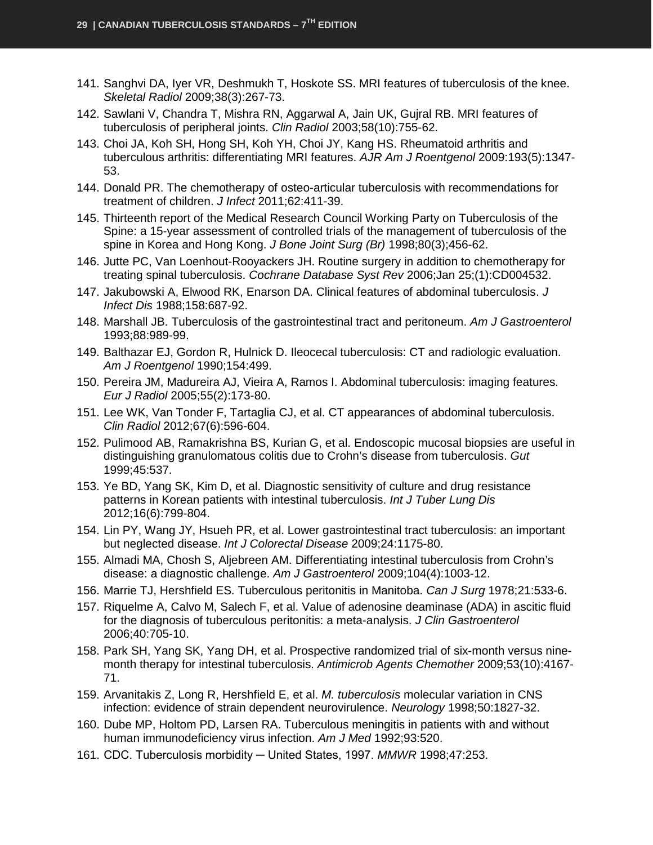- 141. Sanghvi DA, Iyer VR, Deshmukh T, Hoskote SS. MRI features of tuberculosis of the knee. *Skeletal Radiol* 2009;38(3):267-73.
- 142. Sawlani V, Chandra T, Mishra RN, Aggarwal A, Jain UK, Gujral RB. MRI features of tuberculosis of peripheral joints. *Clin Radiol* 2003;58(10):755-62.
- 143. Choi JA, Koh SH, Hong SH, Koh YH, Choi JY, Kang HS. Rheumatoid arthritis and tuberculous arthritis: differentiating MRI features. *AJR Am J Roentgenol* 2009:193(5):1347- 53.
- 144. Donald PR. The chemotherapy of osteo-articular tuberculosis with recommendations for treatment of children. *J Infect* 2011;62:411-39.
- 145. Thirteenth report of the Medical Research Council Working Party on Tuberculosis of the Spine: a 15-year assessment of controlled trials of the management of tuberculosis of the spine in Korea and Hong Kong. *J Bone Joint Surg (Br)* 1998;80(3);456-62.
- 146. Jutte PC, Van Loenhout-Rooyackers JH. Routine surgery in addition to chemotherapy for treating spinal tuberculosis. *Cochrane Database Syst Rev* 2006;Jan 25;(1):CD004532.
- 147. Jakubowski A, Elwood RK, Enarson DA. Clinical features of abdominal tuberculosis. *J Infect Dis* 1988;158:687-92.
- 148. Marshall JB. Tuberculosis of the gastrointestinal tract and peritoneum. *Am J Gastroenterol* 1993;88:989-99.
- 149. Balthazar EJ, Gordon R, Hulnick D. Ileocecal tuberculosis: CT and radiologic evaluation. *Am J Roentgenol* 1990;154:499.
- 150. Pereira JM, Madureira AJ, Vieira A, Ramos I. Abdominal tuberculosis: imaging features. *Eur J Radiol* 2005;55(2):173-80.
- 151. Lee WK, Van Tonder F, Tartaglia CJ, et al. CT appearances of abdominal tuberculosis. *Clin Radiol* 2012;67(6):596-604.
- 152. Pulimood AB, Ramakrishna BS, Kurian G, et al. Endoscopic mucosal biopsies are useful in distinguishing granulomatous colitis due to Crohn's disease from tuberculosis. *Gut* 1999;45:537.
- 153. Ye BD, Yang SK, Kim D, et al. Diagnostic sensitivity of culture and drug resistance patterns in Korean patients with intestinal tuberculosis. *Int J Tuber Lung Dis* 2012;16(6):799-804.
- 154. Lin PY, Wang JY, Hsueh PR, et al. Lower gastrointestinal tract tuberculosis: an important but neglected disease. *Int J Colorectal Disease* 2009;24:1175-80.
- 155. Almadi MA, Chosh S, Aljebreen AM. Differentiating intestinal tuberculosis from Crohn's disease: a diagnostic challenge. *Am J Gastroenterol* 2009;104(4):1003-12.
- 156. Marrie TJ, Hershfield ES. Tuberculous peritonitis in Manitoba. *Can J Surg* 1978;21:533-6.
- 157. Riquelme A, Calvo M, Salech F, et al. Value of adenosine deaminase (ADA) in ascitic fluid for the diagnosis of tuberculous peritonitis: a meta-analysis. *J Clin Gastroenterol* 2006;40:705-10.
- 158. Park SH, Yang SK, Yang DH, et al. Prospective randomized trial of six-month versus ninemonth therapy for intestinal tuberculosis. *Antimicrob Agents Chemother* 2009;53(10):4167- 71.
- 159. Arvanitakis Z, Long R, Hershfield E, et al. *M. tuberculosis* molecular variation in CNS infection: evidence of strain dependent neurovirulence. *Neurology* 1998;50:1827-32.
- 160. Dube MP, Holtom PD, Larsen RA. Tuberculous meningitis in patients with and without human immunodeficiency virus infection. *Am J Med* 1992;93:520.
- 161. CDC. Tuberculosis morbidity ─ United States, 1997. *MMWR* 1998;47:253.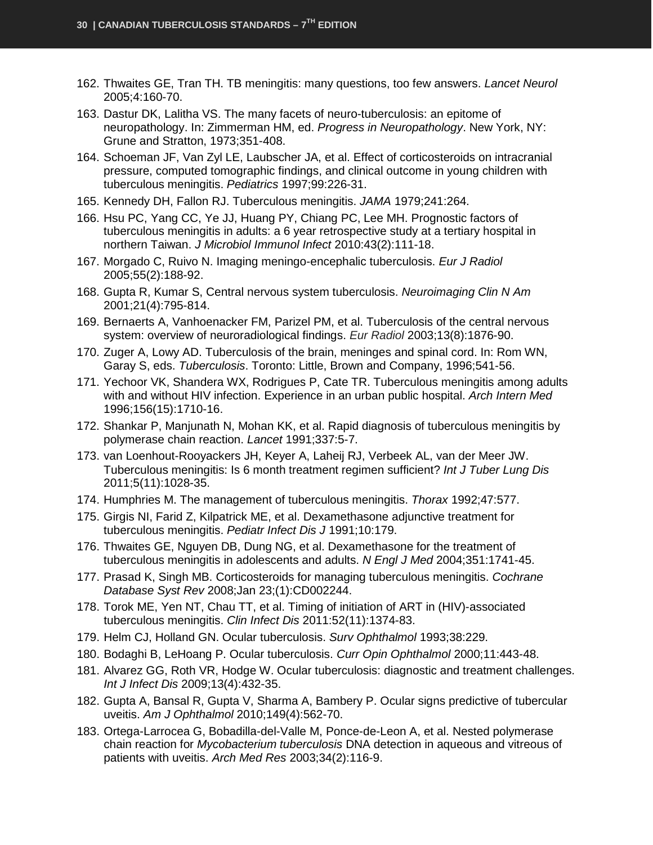- 162. Thwaites GE, Tran TH. TB meningitis: many questions, too few answers. *Lancet Neurol* 2005;4:160-70.
- 163. Dastur DK, Lalitha VS. The many facets of neuro-tuberculosis: an epitome of neuropathology. In: Zimmerman HM, ed. *Progress in Neuropathology*. New York, NY: Grune and Stratton, 1973;351-408.
- 164. Schoeman JF, Van Zyl LE, Laubscher JA, et al. Effect of corticosteroids on intracranial pressure, computed tomographic findings, and clinical outcome in young children with tuberculous meningitis. *Pediatrics* 1997;99:226-31.
- 165. Kennedy DH, Fallon RJ. Tuberculous meningitis. *JAMA* 1979;241:264.
- 166. Hsu PC, Yang CC, Ye JJ, Huang PY, Chiang PC, Lee MH. Prognostic factors of tuberculous meningitis in adults: a 6 year retrospective study at a tertiary hospital in northern Taiwan. *J Microbiol Immunol Infect* 2010:43(2):111-18.
- 167. Morgado C, Ruivo N. Imaging meningo-encephalic tuberculosis. *Eur J Radiol* 2005;55(2):188-92.
- 168. Gupta R, Kumar S, Central nervous system tuberculosis. *Neuroimaging Clin N Am* 2001;21(4):795-814.
- 169. Bernaerts A, Vanhoenacker FM, Parizel PM, et al. Tuberculosis [of the central nervous](http://www.ncbi.nlm.nih.gov/pubmed/12942288)  [system: overview of neuroradiological findings.](http://www.ncbi.nlm.nih.gov/pubmed/12942288) *Eur Radiol* 2003;13(8):1876-90.
- 170. Zuger A, Lowy AD. Tuberculosis of the brain, meninges and spinal cord. In: Rom WN, Garay S, eds. *Tuberculosis*. Toronto: Little, Brown and Company, 1996;541-56.
- 171. Yechoor VK, Shandera WX, Rodrigues P, Cate TR. Tuberculous meningitis among adults with and without HIV infection. Experience in an urban public hospital. *Arch Intern Med* 1996;156(15):1710-16.
- 172. Shankar P, Manjunath N, Mohan KK, et al. Rapid diagnosis of tuberculous meningitis by polymerase chain reaction. *Lancet* 1991;337:5-7.
- 173. van Loenhout-Rooyackers JH, Keyer A, Laheij RJ, Verbeek AL, van der Meer JW. Tuberculous meningitis: Is 6 month treatment regimen sufficient? *Int J Tuber Lung Dis* 2011;5(11):1028-35.
- 174. Humphries M. The management of tuberculous meningitis. *Thorax* 1992;47:577.
- 175. Girgis NI, Farid Z, Kilpatrick ME, et al. Dexamethasone adjunctive treatment for tuberculous meningitis. *Pediatr Infect Dis J* 1991;10:179.
- 176. Thwaites GE, Nguyen DB, Dung NG, et al. Dexamethasone for the treatment of tuberculous meningitis in adolescents and adults. *N Engl J Med* 2004;351:1741-45.
- 177. Prasad K, Singh MB. Corticosteroids for managing tuberculous meningitis. *Cochrane Database Syst Rev* 2008;Jan 23;(1):CD002244.
- 178. Torok ME, Yen NT, Chau TT, et al. Timing of initiation of ART in (HIV)-associated tuberculous meningitis. *Clin Infect Dis* 2011:52(11):1374-83.
- 179. Helm CJ, Holland GN. Ocular tuberculosis. *Surv Ophthalmol* 1993;38:229.
- 180. Bodaghi B, LeHoang P. Ocular tuberculosis. *Curr Opin Ophthalmol* 2000;11:443-48.
- 181. Alvarez GG, Roth VR, Hodge W. Ocular tuberculosis: diagnostic and treatment challenges. *Int J Infect Dis* 2009;13(4):432-35.
- 182. Gupta A, Bansal R, Gupta V, Sharma A, Bambery P. Ocular signs predictive of tubercular uveitis. *Am J Ophthalmol* 2010;149(4):562-70.
- 183. Ortega-Larrocea G, Bobadilla-del-Valle M, Ponce-de-Leon A, et al. Nested polymerase chain reaction for *Mycobacterium tuberculosis* DNA detection in aqueous and vitreous of patients with uveitis. *Arch Med Res* 2003;34(2):116-9.